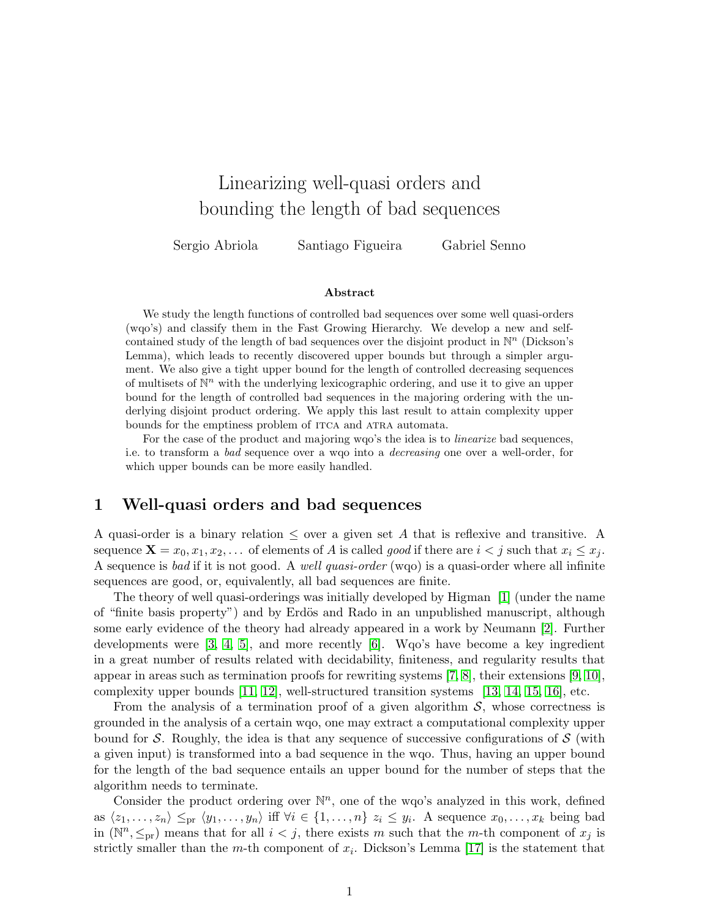# Linearizing well-quasi orders and bounding the length of bad sequences

Sergio Abriola Santiago Figueira Gabriel Senno

#### Abstract

We study the length functions of controlled bad sequences over some well quasi-orders (wqo's) and classify them in the Fast Growing Hierarchy. We develop a new and selfcontained study of the length of bad sequences over the disjoint product in  $\mathbb{N}^n$  (Dickson's Lemma), which leads to recently discovered upper bounds but through a simpler argument. We also give a tight upper bound for the length of controlled decreasing sequences of multisets of  $\mathbb{N}^n$  with the underlying lexicographic ordering, and use it to give an upper bound for the length of controlled bad sequences in the majoring ordering with the underlying disjoint product ordering. We apply this last result to attain complexity upper bounds for the emptiness problem of ITCA and ATRA automata.

For the case of the product and majoring wqo's the idea is to linearize bad sequences, i.e. to transform a bad sequence over a wqo into a decreasing one over a well-order, for which upper bounds can be more easily handled.

### 1 Well-quasi orders and bad sequences

A quasi-order is a binary relation  $\leq$  over a given set A that is reflexive and transitive. A sequence  $\mathbf{X} = x_0, x_1, x_2, \ldots$  of elements of A is called good if there are  $i < j$  such that  $x_i \leq x_j$ . A sequence is bad if it is not good. A *well quasi-order* (wqo) is a quasi-order where all infinite sequences are good, or, equivalently, all bad sequences are finite.

The theory of well quasi-orderings was initially developed by Higman [\[1\]](#page-25-0) (under the name of "finite basis property") and by Erdös and Rado in an unpublished manuscript, although some early evidence of the theory had already appeared in a work by Neumann [\[2\]](#page-25-1). Further developments were [\[3,](#page-25-2) [4,](#page-25-3) [5\]](#page-25-4), and more recently [\[6\]](#page-25-5). Wqo's have become a key ingredient in a great number of results related with decidability, finiteness, and regularity results that appear in areas such as termination proofs for rewriting systems  $[7, 8]$  $[7, 8]$ , their extensions  $[9, 10]$  $[9, 10]$ , complexity upper bounds [\[11,](#page-25-10) [12\]](#page-26-0), well-structured transition systems [\[13,](#page-26-1) [14,](#page-26-2) [15,](#page-26-3) [16\]](#page-26-4), etc.

From the analysis of a termination proof of a given algorithm  $S$ , whose correctness is grounded in the analysis of a certain wqo, one may extract a computational complexity upper bound for S. Roughly, the idea is that any sequence of successive configurations of  $\mathcal S$  (with a given input) is transformed into a bad sequence in the wqo. Thus, having an upper bound for the length of the bad sequence entails an upper bound for the number of steps that the algorithm needs to terminate.

Consider the product ordering over  $\mathbb{N}^n$ , one of the wqo's analyzed in this work, defined as  $\langle z_1, \ldots, z_n \rangle \leq_{\text{pr}} \langle y_1, \ldots, y_n \rangle$  iff  $\forall i \in \{1, \ldots, n\}$   $z_i \leq y_i$ . A sequence  $x_0, \ldots, x_k$  being bad in  $(\mathbb{N}^n, \leq_{\text{pr}})$  means that for all  $i < j$ , there exists m such that the m-th component of  $x_j$  is strictly smaller than the *m*-th component of  $x_i$ . Dickson's Lemma [\[17\]](#page-26-5) is the statement that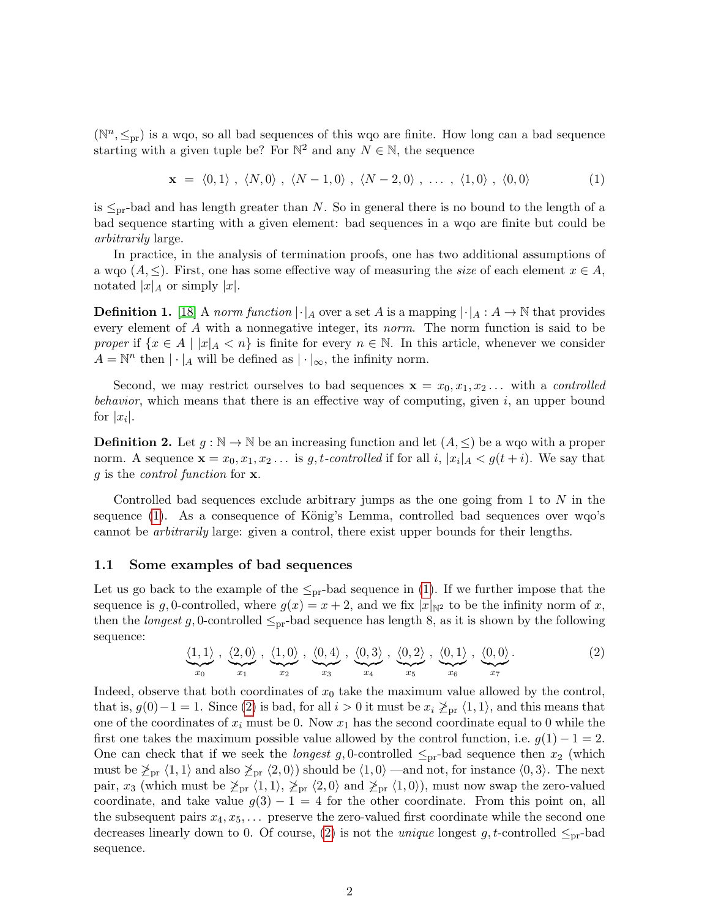$(\mathbb{N}^n, \leq_{\text{pr}})$  is a wqo, so all bad sequences of this wqo are finite. How long can a bad sequence starting with a given tuple be? For  $\mathbb{N}^2$  and any  $N \in \mathbb{N}$ , the sequence

<span id="page-1-0"></span>
$$
\mathbf{x} = \langle 0, 1 \rangle, \langle N, 0 \rangle, \langle N - 1, 0 \rangle, \langle N - 2, 0 \rangle, \dots, \langle 1, 0 \rangle, \langle 0, 0 \rangle \tag{1}
$$

is  $\leq_{\text{pr}}$ -bad and has length greater than N. So in general there is no bound to the length of a bad sequence starting with a given element: bad sequences in a wqo are finite but could be arbitrarily large.

In practice, in the analysis of termination proofs, one has two additional assumptions of a wqo  $(A, \leq)$ . First, one has some effective way of measuring the size of each element  $x \in A$ , notated  $|x|_A$  or simply  $|x|$ .

**Definition 1.** [\[18\]](#page-26-6) A norm function  $|\cdot|_A$  over a set A is a mapping  $|\cdot|_A : A \to \mathbb{N}$  that provides every element of A with a nonnegative integer, its norm. The norm function is said to be proper if  $\{x \in A \mid |x|_A < n\}$  is finite for every  $n \in \mathbb{N}$ . In this article, whenever we consider  $A = \mathbb{N}^n$  then  $|\cdot|_A$  will be defined as  $|\cdot|_\infty$ , the infinity norm.

Second, we may restrict ourselves to bad sequences  $\mathbf{x} = x_0, x_1, x_2 \dots$  with a *controlled* behavior, which means that there is an effective way of computing, given  $i$ , an upper bound for  $|x_i|$ .

<span id="page-1-2"></span>**Definition 2.** Let  $g : \mathbb{N} \to \mathbb{N}$  be an increasing function and let  $(A, \leq)$  be a wqo with a proper norm. A sequence  $\mathbf{x} = x_0, x_1, x_2 \dots$  is g, t-controlled if for all i,  $|x_i|_A < g(t+i)$ . We say that g is the control function for x.

Controlled bad sequences exclude arbitrary jumps as the one going from  $1$  to  $N$  in the sequence  $(1)$ . As a consequence of König's Lemma, controlled bad sequences over wqo's cannot be arbitrarily large: given a control, there exist upper bounds for their lengths.

#### 1.1 Some examples of bad sequences

Let us go back to the example of the  $\leq_{pr}$ -bad sequence in [\(1\)](#page-1-0). If we further impose that the sequence is g, 0-controlled, where  $g(x) = x + 2$ , and we fix  $|x|_{\mathbb{N}^2}$  to be the infinity norm of x, then the *longest* g, 0-controlled  $\leq_{pr}$ -bad sequence has length 8, as it is shown by the following sequence:

<span id="page-1-1"></span>
$$
\underbrace{\langle 1,1\rangle}_{x_0}, \underbrace{\langle 2,0\rangle}_{x_1}, \underbrace{\langle 1,0\rangle}_{x_2}, \underbrace{\langle 0,4\rangle}_{x_3}, \underbrace{\langle 0,3\rangle}_{x_4}, \underbrace{\langle 0,2\rangle}_{x_5}, \underbrace{\langle 0,1\rangle}_{x_6}, \underbrace{\langle 0,0\rangle}_{x_7}.
$$
 (2)

Indeed, observe that both coordinates of  $x_0$  take the maximum value allowed by the control, that is,  $g(0)-1=1$ . Since [\(2\)](#page-1-1) is bad, for all  $i>0$  it must be  $x_i \ngeq_{\text{pr}} \langle 1,1 \rangle$ , and this means that one of the coordinates of  $x_i$  must be 0. Now  $x_1$  has the second coordinate equal to 0 while the first one takes the maximum possible value allowed by the control function, i.e.  $g(1) - 1 = 2$ . One can check that if we seek the *longest g*, 0-controlled  $\leq_{\text{pr}}$ -bad sequence then  $x_2$  (which must be  $\chi_{\text{pr}} \langle 1, 1 \rangle$  and also  $\chi_{\text{pr}} \langle 2, 0 \rangle$ ) should be  $\langle 1, 0 \rangle$  —and not, for instance  $\langle 0, 3 \rangle$ . The next pair,  $x_3$  (which must be  $\chi_{pr} \langle 1, 1 \rangle$ ,  $\chi_{pr} \langle 2, 0 \rangle$  and  $\chi_{pr} \langle 1, 0 \rangle$ ), must now swap the zero-valued coordinate, and take value  $g(3) - 1 = 4$  for the other coordinate. From this point on, all the subsequent pairs  $x_4, x_5, \ldots$  preserve the zero-valued first coordinate while the second one decreases linearly down to 0. Of course, [\(2\)](#page-1-1) is not the *unique* longest g, t-controlled  $\leq_{\text{pr}}$ -bad sequence.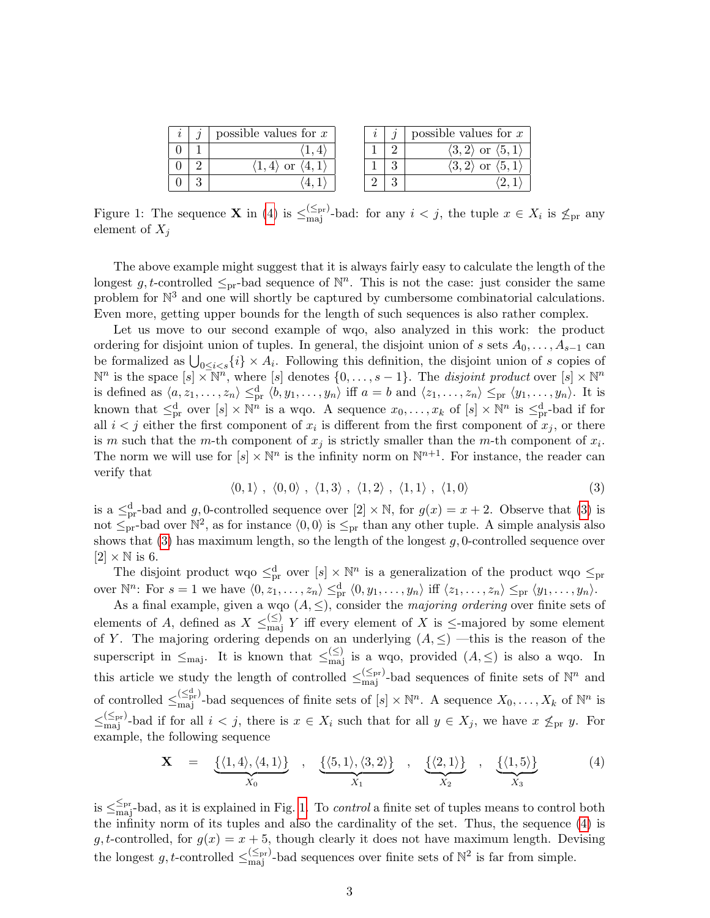|   | possible values for $x$ |  | possible values for $x$                          |
|---|-------------------------|--|--------------------------------------------------|
|   |                         |  | $\langle 3, 2 \rangle$ or $\langle 5, 1 \rangle$ |
| ິ |                         |  | or                                               |
| റ |                         |  |                                                  |

<span id="page-2-2"></span>Figure 1: The sequence **X** in [\(4\)](#page-2-0) is  $\leq_{\text{maj}}^{(\leq_{\text{pr}})}$ -bad: for any  $i < j$ , the tuple  $x \in X_i$  is  $\nleq_{\text{pr}}$  any element of  $X_i$ 

The above example might suggest that it is always fairly easy to calculate the length of the longest g, t-controlled  $\leq_{\text{pr}}$ -bad sequence of  $\mathbb{N}^n$ . This is not the case: just consider the same problem for  $\mathbb{N}^3$  and one will shortly be captured by cumbersome combinatorial calculations. Even more, getting upper bounds for the length of such sequences is also rather complex.

Let us move to our second example of wqo, also analyzed in this work: the product ordering for disjoint union of tuples. In general, the disjoint union of s sets  $A_0, \ldots, A_{s-1}$  can be formalized as  $\bigcup_{0 \leq i < s} \{i\} \times A_i$ . Following this definition, the disjoint union of s copies of  $\mathbb{N}^n$  is the space  $[s] \times \mathbb{N}^n$ , where  $[s]$  denotes  $\{0, \ldots, s-1\}$ . The *disjoint product* over  $[s] \times \mathbb{N}^n$ is defined as  $\langle a, z_1, \ldots, z_n \rangle \leq_{\text{pr}}^d \langle b, y_1, \ldots, y_n \rangle$  iff  $a = b$  and  $\langle z_1, \ldots, z_n \rangle \leq_{\text{pr}} \langle y_1, \ldots, y_n \rangle$ . It is known that  $\leq^d_{pr}$  over  $[s] \times \mathbb{N}^n$  is a wqo. A sequence  $x_0, \ldots, x_k$  of  $[s] \times \mathbb{N}^n$  is  $\leq^d_{pr}$ -bad if for all  $i < j$  either the first component of  $x_i$  is different from the first component of  $x_j$ , or there is m such that the m-th component of  $x_j$  is strictly smaller than the m-th component of  $x_i$ . The norm we will use for  $[s] \times \mathbb{N}^n$  is the infinity norm on  $\mathbb{N}^{n+1}$ . For instance, the reader can verify that

<span id="page-2-1"></span>
$$
\langle 0,1 \rangle , \langle 0,0 \rangle , \langle 1,3 \rangle , \langle 1,2 \rangle , \langle 1,1 \rangle , \langle 1,0 \rangle
$$
 (3)

is a  $\leq_{pr}^d$ -bad and g, 0-controlled sequence over  $[2] \times \mathbb{N}$ , for  $g(x) = x + 2$ . Observe that [\(3\)](#page-2-1) is not  $\leq_{pr}^{\infty}$ -bad over  $\mathbb{N}^2$ , as for instance  $\langle 0, 0 \rangle$  is  $\leq_{pr}$  than any other tuple. A simple analysis also shows that  $(3)$  has maximum length, so the length of the longest g, 0-controlled sequence over  $[2] \times \mathbb{N}$  is 6.

The disjoint product wqo  $\leq^d_{pr}$  over  $[s] \times \mathbb{N}^n$  is a generalization of the product wqo  $\leq_{pr}$ over  $\mathbb{N}^n$ : For  $s = 1$  we have  $\langle 0, z_1, \ldots, z_n \rangle \leq_{\text{pr}}^d \langle 0, y_1, \ldots, y_n \rangle$  iff  $\langle z_1, \ldots, z_n \rangle \leq_{\text{pr}} \langle y_1, \ldots, y_n \rangle$ .

As a final example, given a wqo  $(A, \leq)$ , consider the *majoring ordering* over finite sets of elements of A, defined as  $X \leq_{\text{maj}}^{\leq} Y$  iff every element of X is  $\leq$ -majored by some element of Y. The majoring ordering depends on an underlying  $(A, \leq)$  —this is the reason of the superscript in  $\leq_{\text{maj}}$ . It is known that  $\leq_{\text{maj}}^{(\leq)}$  is a wqo, provided  $(A, \leq)$  is also a wqo. In this article we study the length of controlled  $\leq_{\text{maj}}^{(\leq_{\text{pr}})}$ -bad sequences of finite sets of  $\mathbb{N}^n$  and of controlled  $\leq_{\text{maj}}^{(\leq_{\text{pr}}^d)}$ -bad sequences of finite sets of  $[s] \times \mathbb{N}^n$ . A sequence  $X_0, \ldots, X_k$  of  $\mathbb{N}^n$  is  $\leq_{\text{maj}}^{(\leq_{\text{pr}})}$ -bad if for all  $i < j$ , there is  $x \in X_i$  such that for all  $y \in X_j$ , we have  $x \nleq_{\text{pr}} y$ . For example, the following sequence

<span id="page-2-0"></span>
$$
\mathbf{X} = \underbrace{\{(1,4), (4,1)\}}_{X_0}, \underbrace{\{(5,1), (3,2)\}}_{X_1}, \underbrace{\{(2,1)\}}_{X_2}, \underbrace{\{(1,5)\}}_{X_3}
$$
 (4)

is  $\leq_{\text{maj}}^{\leq_{\text{pr}}}$ -bad, as it is explained in Fig. [1.](#page-2-2) To *control* a finite set of tuples means to control both the infinity norm of its tuples and also the cardinality of the set. Thus, the sequence [\(4\)](#page-2-0) is g, t-controlled, for  $g(x) = x + 5$ , though clearly it does not have maximum length. Devising the longest g, t-controlled  $\leq_{\text{maj}}^{(\leq_{\text{pr}})}$ -bad sequences over finite sets of  $\mathbb{N}^2$  is far from simple.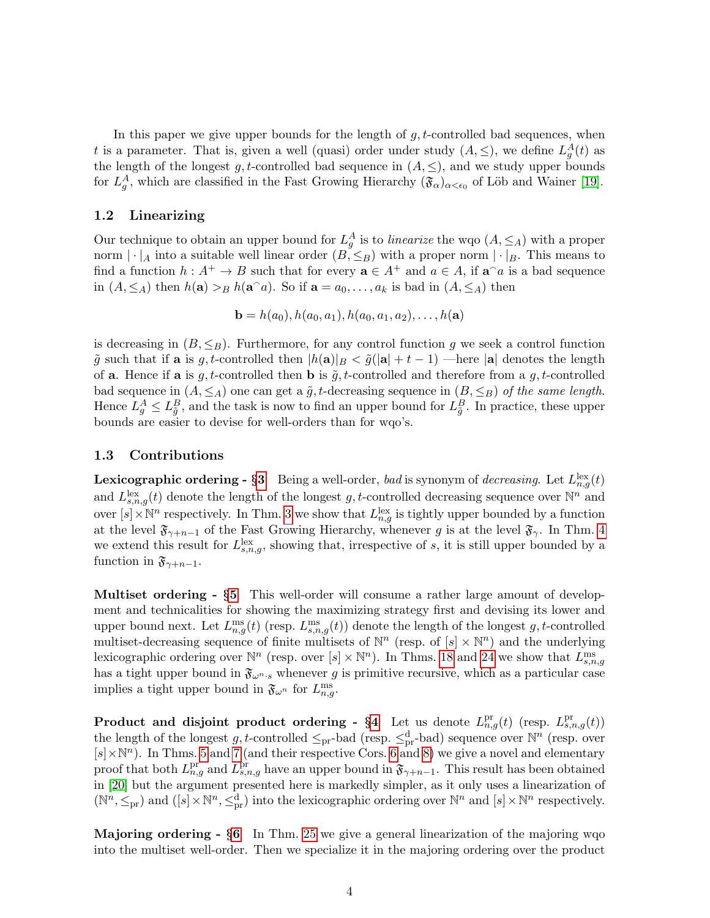In this paper we give upper bounds for the length of  $g, t$ -controlled bad sequences, when t is a parameter. That is, given a well (quasi) order under study  $(A, \leq)$ , we define  $L_g^A(t)$  as the length of the longest g, t-controlled bad sequence in  $(A, \leq)$ , and we study upper bounds for  $L_g^A$ , which are classified in the Fast Growing Hierarchy  $(\mathfrak{F}_{\alpha})_{\alpha<\epsilon_0}$  of Löb and Wainer [\[19\]](#page-26-7).

#### 1.2 Linearizing

Our technique to obtain an upper bound for  $L_g^A$  is to linearize the wqo  $(A, \leq_A)$  with a proper norm  $|\cdot|_A$  into a suitable well linear order  $(B, \leq_B)$  with a proper norm  $|\cdot|_B$ . This means to find a function  $h: A^+ \to B$  such that for every  $\mathbf{a} \in A^+$  and  $a \in A$ , if  $\mathbf{a} \cap a$  is a bad sequence in  $(A, \leq_A)$  then  $h(\mathbf{a}) >_B h(\mathbf{a}^{\cap}a)$ . So if  $\mathbf{a} = a_0, \ldots, a_k$  is bad in  $(A, \leq_A)$  then

$$
\mathbf{b} = h(a_0), h(a_0, a_1), h(a_0, a_1, a_2), \dots, h(\mathbf{a})
$$

is decreasing in  $(B, \leq_B)$ . Furthermore, for any control function g we seek a control function  $\tilde{g}$  such that if **a** is g, t-controlled then  $|h(\mathbf{a})|_B < \tilde{g}(|\mathbf{a}| + t - 1)$  —here  $|\mathbf{a}|$  denotes the length of **a**. Hence if **a** is  $g$ , t-controlled then **b** is  $\tilde{g}$ , t-controlled and therefore from a  $g$ , t-controlled bad sequence in  $(A, \leq_A)$  one can get a  $\tilde{g}$ , t-decreasing sequence in  $(B, \leq_B)$  of the same length. Hence  $L_g^A \leq L_{\tilde{g}}^B$ , and the task is now to find an upper bound for  $L_{\tilde{g}}^B$ . In practice, these upper bounds are easier to devise for well-orders than for wqo's.

#### 1.3 Contributions

**Lexicographic ordering - §[3](#page-7-0)** Being a well-order, *bad* is synonym of *decreasing*. Let  $L_{n,g}^{\text{lex}}(t)$ and  $L_{s,n,g}^{\text{lex}}(t)$  denote the length of the longest g, t-controlled decreasing sequence over  $\mathbb{N}^n$  and over  $[s] \times \mathbb{N}^n$  respectively. In Thm. [3](#page-7-1) we show that  $L_{n,g}^{\text{lex}}$  is tightly upper bounded by a function at the level  $\mathfrak{F}_{\gamma+n-1}$  of the Fast Growing Hierarchy, whenever g is at the level  $\mathfrak{F}_{\gamma}$ . In Thm. [4](#page-7-2) we extend this result for  $L_{s,n,g}^{\text{lex}},$  showing that, irrespective of s, it is still upper bounded by a function in  $\mathfrak{F}_{\gamma+n-1}$ .

Multiset ordering - §[5](#page-12-0) This well-order will consume a rather large amount of development and technicalities for showing the maximizing strategy first and devising its lower and upper bound next. Let  $L_{n,g}^{\text{ms}}(t)$  (resp.  $L_{s,n,g}^{\text{ms}}(t)$ ) denote the length of the longest g, t-controlled multiset-decreasing sequence of finite multisets of  $\mathbb{N}^n$  (resp. of  $[s] \times \mathbb{N}^n$ ) and the underlying lexicographic ordering over  $\mathbb{N}^n$  (resp. over  $[s] \times \mathbb{N}^n$ ). In Thms. [18](#page-16-0) and [24](#page-19-0) we show that  $L_{s,n,g}^{\text{ms}}$ has a tight upper bound in  $\mathfrak{F}_{\omega^{n}}$ , whenever g is primitive recursive, which as a particular case implies a tight upper bound in  $\mathfrak{F}_{\omega^n}$  for  $L_{n,g}^{\text{ms}}$ .

**Product and disjoint product ordering - §[4](#page-8-0)** Let us denote  $L_{n,g}^{\text{pr}}(t)$  (resp.  $L_{s,n,g}^{\text{pr}}(t)$ ) the length of the longest g, t-controlled  $\leq_{\text{pr}}$ -bad (resp.  $\leq_{\text{pr}}^d$ -bad) sequence over  $\mathbb{N}^n$  (resp. over  $[s] \times \mathbb{N}^n$ ). In Thms. [5](#page-9-0) and [7](#page-10-0) (and their respective Cors. [6](#page-10-1) and [8\)](#page-12-1) we give a novel and elementary proof that both  $L_{n,g}^{\text{pr}}$  and  $L_{s,n,g}^{\text{pr}}$  have an upper bound in  $\mathfrak{F}_{\gamma+n-1}$ . This result has been obtained in [\[20\]](#page-26-8) but the argument presented here is markedly simpler, as it only uses a linearization of  $(\mathbb{N}^n, \leq_{\text{pr}})$  and  $([s] \times \mathbb{N}^n, \leq^d_{\text{pr}})$  into the lexicographic ordering over  $\mathbb{N}^n$  and  $[s] \times \mathbb{N}^n$  respectively.

Majoring ordering - §[6](#page-20-0) In Thm. [25](#page-20-1) we give a general linearization of the majoring wqo into the multiset well-order. Then we specialize it in the majoring ordering over the product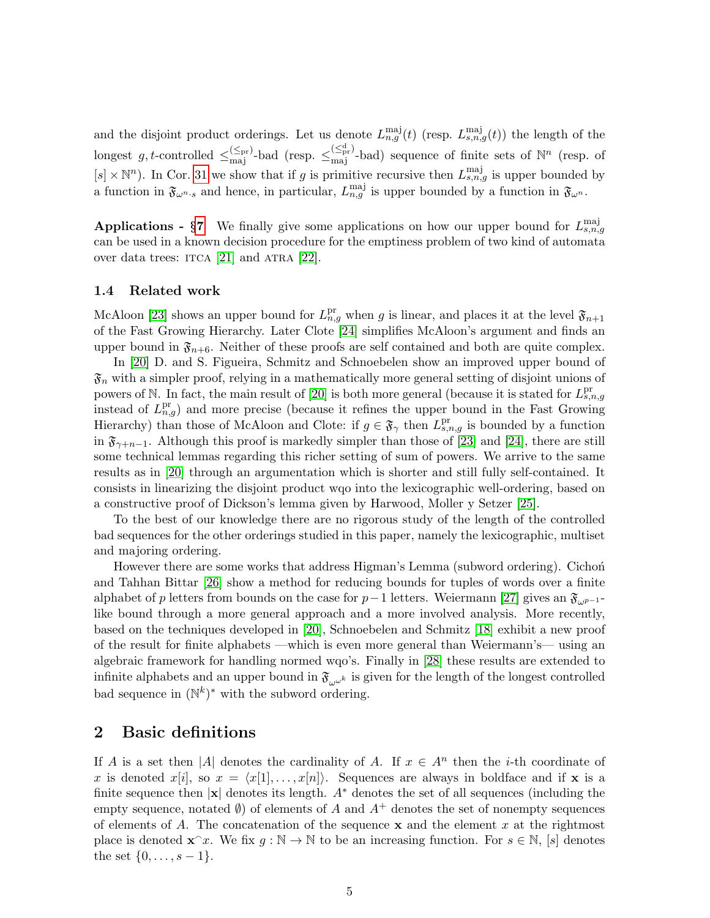and the disjoint product orderings. Let us denote  $L_{n,g}^{\text{maj}}(t)$  (resp.  $L_{s,n,g}^{\text{maj}}(t)$ ) the length of the longest g, t-controlled  $\leq_{\text{maj}}^{(\leq_{\text{pr}})}$ -bad (resp.  $\leq_{\text{maj}}^{(\leq_{\text{pr}})}$ -bad) sequence of finite sets of  $\mathbb{N}^n$  (resp. of  $[s] \times \mathbb{N}^n$ ). In Cor. [31](#page-23-0) we show that if g is primitive recursive then  $L_{s,n,g}^{\text{maj}}$  is upper bounded by a function in  $\mathfrak{F}_{\omega^{n} \cdot s}$  and hence, in particular,  $L_{n,g}^{\text{maj}}$  is upper bounded by a function in  $\mathfrak{F}_{\omega^{n}}$ .

**Applications - §[7](#page-23-1)** We finally give some applications on how our upper bound for  $L_{s,n,g}^{\text{maj}}$ can be used in a known decision procedure for the emptiness problem of two kind of automata over data trees: ITCA [\[21\]](#page-26-9) and ATRA [\[22\]](#page-26-10).

#### 1.4 Related work

McAloon [\[23\]](#page-26-11) shows an upper bound for  $L_{n,g}^{\text{pr}}$  when g is linear, and places it at the level  $\mathfrak{F}_{n+1}$ of the Fast Growing Hierarchy. Later Clote [\[24\]](#page-26-12) simplifies McAloon's argument and finds an upper bound in  $\mathfrak{F}_{n+6}$ . Neither of these proofs are self contained and both are quite complex.

In [\[20\]](#page-26-8) D. and S. Figueira, Schmitz and Schnoebelen show an improved upper bound of  $\mathfrak{F}_n$  with a simpler proof, relying in a mathematically more general setting of disjoint unions of powers of N. In fact, the main result of [\[20\]](#page-26-8) is both more general (because it is stated for  $L_{s,n,g}^{\text{pr}}$ instead of  $L_{n,g}^{\text{pr}}$ ) and more precise (because it refines the upper bound in the Fast Growing Hierarchy) than those of McAloon and Clote: if  $g \in \mathfrak{F}_{\gamma}$  then  $L_{s,n,g}^{\text{pr}}$  is bounded by a function in  $\mathfrak{F}_{\gamma+n-1}$ . Although this proof is markedly simpler than those of [\[23\]](#page-26-11) and [\[24\]](#page-26-12), there are still some technical lemmas regarding this richer setting of sum of powers. We arrive to the same results as in [\[20\]](#page-26-8) through an argumentation which is shorter and still fully self-contained. It consists in linearizing the disjoint product wqo into the lexicographic well-ordering, based on a constructive proof of Dickson's lemma given by Harwood, Moller y Setzer [\[25\]](#page-26-13).

To the best of our knowledge there are no rigorous study of the length of the controlled bad sequences for the other orderings studied in this paper, namely the lexicographic, multiset and majoring ordering.

However there are some works that address Higman's Lemma (subword ordering). Cichon and Tahhan Bittar [\[26\]](#page-26-14) show a method for reducing bounds for tuples of words over a finite alphabet of p letters from bounds on the case for p−1 letters. Weiermann [\[27\]](#page-26-15) gives an  $\mathfrak{F}_{\omega^{p-1}}$ like bound through a more general approach and a more involved analysis. More recently, based on the techniques developed in [\[20\]](#page-26-8), Schnoebelen and Schmitz [\[18\]](#page-26-6) exhibit a new proof of the result for finite alphabets —which is even more general than Weiermann's— using an algebraic framework for handling normed wqo's. Finally in [\[28\]](#page-27-0) these results are extended to infinite alphabets and an upper bound in  $\mathfrak{F}_{\alpha,\omega^k}$  is given for the length of the longest controlled bad sequence in  $(N^k)^*$  with the subword ordering.

### 2 Basic definitions

If A is a set then |A| denotes the cardinality of A. If  $x \in A^n$  then the *i*-th coordinate of x is denoted  $x[i]$ , so  $x = \langle x[1], \ldots, x[n]\rangle$ . Sequences are always in boldface and if x is a finite sequence then  $|x|$  denotes its length.  $A^*$  denotes the set of all sequences (including the empty sequence, notated  $\emptyset$  of elements of A and  $A^+$  denotes the set of nonempty sequences of elements of A. The concatenation of the sequence  $x$  and the element x at the rightmost place is denoted  $\mathbf{x}^T x$ . We fix  $g : \mathbb{N} \to \mathbb{N}$  to be an increasing function. For  $s \in \mathbb{N}$ , [s] denotes the set  $\{0, \ldots, s-1\}.$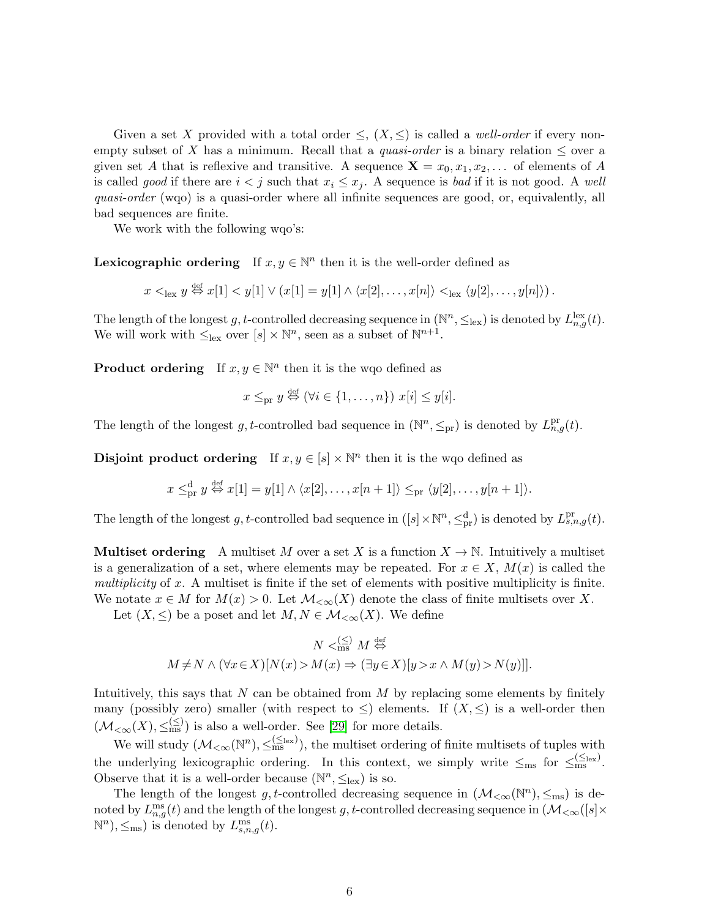Given a set X provided with a total order  $\leq$ ,  $(X, \leq)$  is called a *well-order* if every nonempty subset of X has a minimum. Recall that a *quasi-order* is a binary relation  $\leq$  over a given set A that is reflexive and transitive. A sequence  $\mathbf{X} = x_0, x_1, x_2, \dots$  of elements of A is called good if there are  $i < j$  such that  $x_i \leq x_j$ . A sequence is bad if it is not good. A well quasi-order (wqo) is a quasi-order where all infinite sequences are good, or, equivalently, all bad sequences are finite.

We work with the following wqo's:

**Lexicographic ordering** If  $x, y \in \mathbb{N}^n$  then it is the well-order defined as

 $x <_{\text{lex}} y \stackrel{\text{def}}{\Leftrightarrow} x[1] < y[1] \vee (x[1] = y[1] \wedge \langle x[2], \ldots, x[n] \rangle <_{\text{lex}} \langle y[2], \ldots, y[n] \rangle).$ 

The length of the longest g, t-controlled decreasing sequence in  $(\mathbb{N}^n, \leq_{\text{lex}})$  is denoted by  $L_{n,g}^{\text{lex}}(t)$ . We will work with  $\leq_{\text{lex}}$  over  $[s] \times \mathbb{N}^n$ , seen as a subset of  $\mathbb{N}^{n+1}$ .

**Product ordering** If  $x, y \in \mathbb{N}^n$  then it is the wqo defined as

$$
x \leq_{\text{pr}} y \stackrel{\text{def}}{\Leftrightarrow} (\forall i \in \{1, \ldots, n\}) \ x[i] \leq y[i].
$$

The length of the longest g, t-controlled bad sequence in  $(\mathbb{N}^n, \leq_{\text{pr}})$  is denoted by  $L_{n,g}^{\text{pr}}(t)$ .

**Disjoint product ordering** If  $x, y \in [s] \times \mathbb{N}^n$  then it is the wqo defined as

$$
x \leq_{\text{pr}}^{\text{d}} y \stackrel{\text{def}}{\Leftrightarrow} x[1] = y[1] \wedge \langle x[2], \dots, x[n+1] \rangle \leq_{\text{pr}} \langle y[2], \dots, y[n+1] \rangle.
$$

The length of the longest g, t-controlled bad sequence in  $([s] \times \mathbb{N}^n, \leq^d_{pr})$  is denoted by  $L_{s,n,g}^{pr}(t)$ .

**Multiset ordering** A multiset M over a set X is a function  $X \to \mathbb{N}$ . Intuitively a multiset is a generalization of a set, where elements may be repeated. For  $x \in X$ ,  $M(x)$  is called the multiplicity of x. A multiset is finite if the set of elements with positive multiplicity is finite. We notate  $x \in M$  for  $M(x) > 0$ . Let  $\mathcal{M}_{< \infty}(X)$  denote the class of finite multisets over X.

Let  $(X, \leq)$  be a poset and let  $M, N \in \mathcal{M}_{\leq \infty}(X)$ . We define

$$
N <_{\text{ms}}^{(\leq)} M \stackrel{\text{def}}{\Leftrightarrow} \newline M \neq N \land (\forall x \in X)[N(x) > M(x) \Rightarrow (\exists y \in X)[y > x \land M(y) > N(y)]].
$$

Intuitively, this says that  $N$  can be obtained from  $M$  by replacing some elements by finitely many (possibly zero) smaller (with respect to  $\leq$ ) elements. If  $(X, \leq)$  is a well-order then  $(\mathcal{M}_{\leq \infty}(X), \leq^{\leq s}_{\text{ms}})$  is also a well-order. See [\[29\]](#page-27-1) for more details.

We will study  $(\mathcal{M}_{< \infty}(\mathbb{N}^n), \leq^{\leq_{\text{lex}}}_{\text{ms}})$ , the multiset ordering of finite multisets of tuples with the underlying lexicographic ordering. In this context, we simply write  $\leq_{\text{ms}}$  for  $\leq_{\text{ms}}^{\leq (\leq_{\text{lex}})}$ . Observe that it is a well-order because  $(\mathbb{N}^n, \leq_{\text{lex}})$  is so.

The length of the longest g, t-controlled decreasing sequence in  $(\mathcal{M}_{< \infty}(\mathbb{N}^n), \leq_{\text{ms}})$  is denoted by  $L_{n,g}^{\text{ms}}(t)$  and the length of the longest g, t-controlled decreasing sequence in  $(\mathcal{M}_{<\infty}([s]\times$  $\mathbb{N}^n$ ,  $\leq_{\text{ms}}$ ) is denoted by  $L_{s,n,g}^{\text{ms}}(t)$ .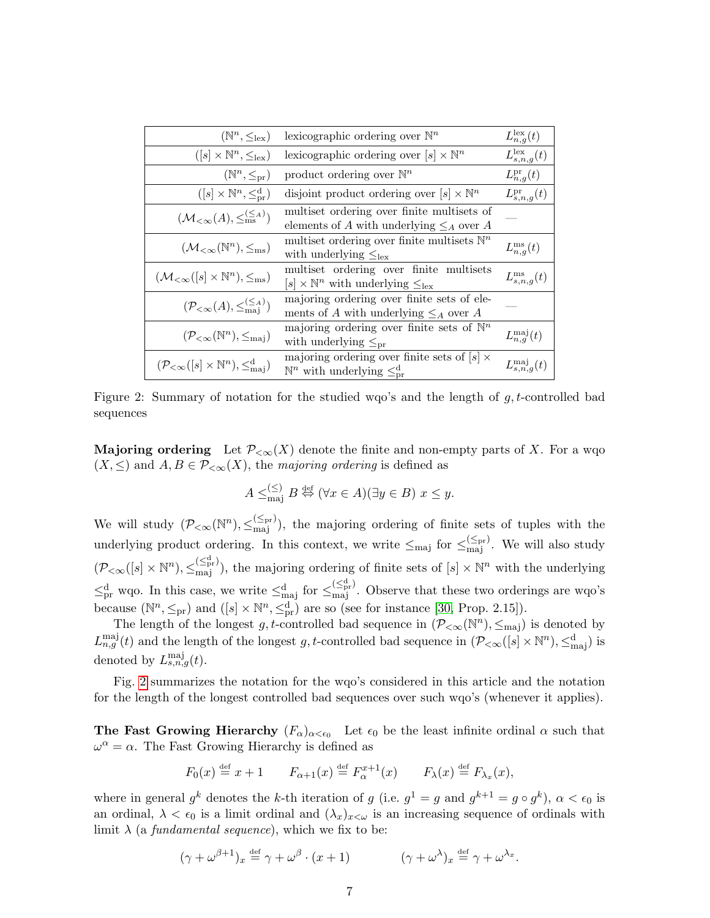| lexicographic ordering over $\mathbb{N}^n$<br>$(\mathbb{N}^n, \leq_{\text{lex}})$     |                                                                                                                           | $L_{n,q}^{\text{lex}}(t)$    |
|---------------------------------------------------------------------------------------|---------------------------------------------------------------------------------------------------------------------------|------------------------------|
| $([s] \times \mathbb{N}^n, \leq_{\text{lex}})$                                        | lexicographic ordering over $[s] \times \mathbb{N}^n$                                                                     | $L_{s,n,q}^{\text{lex}}(t)$  |
| $(\mathbb{N}^n, \leq_{\mathrm{pr}})$                                                  | product ordering over $\mathbb{N}^n$                                                                                      | $L_{n,q}^{\text{pr}}(t)$     |
| $([s] \times \mathbb{N}^n, \leq^{\mathrm{d}}_{\mathrm{pr}})$                          | disjoint product ordering over $[s] \times \mathbb{N}^n$                                                                  | $L_{s,n,q}^{\mathrm{pr}}(t)$ |
| $(\mathcal{M}_{<\infty}(A), \leq_{\text{ms}}^{(\leq A)})$                             | multiset ordering over finite multisets of<br>elements of A with underlying $\leq_A$ over A                               |                              |
| $(\mathcal{M}_{<\infty}(\mathbb{N}^n), \leq_{\text{ms}})$                             | multiset ordering over finite multisets $\mathbb{N}^n$<br>with underlying $\leq_{\text{lex}}$                             | $L_{n,q}^{\text{ms}}(t)$     |
| $(\mathcal{M}_{<\infty}([s] \times \mathbb{N}^n), \leq_{\text{ms}})$                  | multiset ordering over finite multisets<br>$[s] \times \mathbb{N}^n$ with underlying $\leq_{\text{lex}}$                  | $L_{s,n,q}^{\text{ms}}(t)$   |
| $(\mathcal{P}_{<\infty}(A), \leq_{\text{mai}}^{(\leq A)})$                            | majoring ordering over finite sets of ele-<br>ments of A with underlying $\leq_A$ over A                                  |                              |
| $(\mathcal{P}_{< \infty}(\mathbb{N}^n), \leq_{\text{maj}})$                           | majoring ordering over finite sets of $\mathbb{N}^n$<br>with underlying $\leq_{\text{pr}}$                                | $L_{n,q}^{\text{maj}}(t)$    |
| $(\mathcal{P}_{< \infty}([s] \times \mathbb{N}^n), \leq^{\mathbf{d}}_{\mathbf{maj}})$ | majoring ordering over finite sets of $\sqrt{ s  \times}$<br>$\mathbb{N}^n$ with underlying $\leq_{\text{pr}}^{\text{d}}$ | $L_{s.n.a}^{\text{maj}}(t)$  |

Figure 2: Summary of notation for the studied wqo's and the length of  $q, t$ -controlled bad sequences

<span id="page-6-0"></span>**Majoring ordering** Let  $\mathcal{P}_{< \infty}(X)$  denote the finite and non-empty parts of X. For a wqo  $(X, \leq)$  and  $A, B \in \mathcal{P}_{\leq \infty}(X)$ , the majoring ordering is defined as

$$
A \leq_{\text{maj}}^{(\leq)} B \stackrel{\text{def}}{\Leftrightarrow} (\forall x \in A)(\exists y \in B) \ x \leq y.
$$

We will study  $(\mathcal{P}_{< \infty}(\mathbb{N}^n), \leq_{\text{maj}}^{\leq_{\text{pr}}})$ , the majoring ordering of finite sets of tuples with the underlying product ordering. In this context, we write  $\leq_{\text{maj}}$  for  $\leq_{\text{maj}}^{\leq_{\text{pr}}}$ . We will also study  $(\mathcal{P}_{\leq \infty}([s] \times \mathbb{N}^n), \leq_{\text{maj}}^{(\leq_{\text{pr}}^{\text{dr}})})$ , the majoring ordering of finite sets of  $[s] \times \mathbb{N}^n$  with the underlying  $\leq_{pr}^d$  wqo. In this case, we write  $\leq_{maj}^d$  for  $\leq_{maj}^{\leq_{pr}^d}$ . Observe that these two orderings are wqo's because  $(\mathbb{N}^n, \leq_{\text{pr}})$  and  $([s] \times \mathbb{N}^n, \leq_{\text{pr}}^d)$  are so (see for instance [\[30,](#page-27-2) Prop. 2.15]).

The length of the longest g, t-controlled bad sequence in  $(\mathcal{P}_{< \infty}(\mathbb{N}^n), \leq_{\text{maj}})$  is denoted by  $L_{n,g}^{\text{maj}}(t)$  and the length of the longest g, t-controlled bad sequence in  $(\mathcal{P}_{< \infty}([s] \times \mathbb{N}^n), \leq^{\text{d}}_{\text{maj}})$  is denoted by  $L_{s,n,g}^{\text{maj}}(t)$ .

Fig. [2](#page-6-0) summarizes the notation for the wqo's considered in this article and the notation for the length of the longest controlled bad sequences over such wqo's (whenever it applies).

**The Fast Growing Hierarchy**  $(F_{\alpha})_{\alpha < \epsilon_0}$  Let  $\epsilon_0$  be the least infinite ordinal  $\alpha$  such that  $\omega^{\alpha} = \alpha$ . The Fast Growing Hierarchy is defined as

$$
F_0(x) \stackrel{\text{def}}{=} x + 1
$$
  $F_{\alpha+1}(x) \stackrel{\text{def}}{=} F_{\alpha}^{x+1}(x)$   $F_{\lambda}(x) \stackrel{\text{def}}{=} F_{\lambda_x}(x),$ 

where in general  $g^k$  denotes the k-th iteration of g (i.e.  $g^1 = g$  and  $g^{k+1} = g \circ g^k$ ),  $\alpha < \epsilon_0$  is an ordinal,  $\lambda < \epsilon_0$  is a limit ordinal and  $(\lambda_x)_{x<\omega}$  is an increasing sequence of ordinals with limit  $\lambda$  (a fundamental sequence), which we fix to be:

$$
(\gamma + \omega^{\beta+1})_x \stackrel{\text{def}}{=} \gamma + \omega^{\beta} \cdot (x+1) \qquad (\gamma + \omega^{\lambda})_x \stackrel{\text{def}}{=} \gamma + \omega^{\lambda_x}.
$$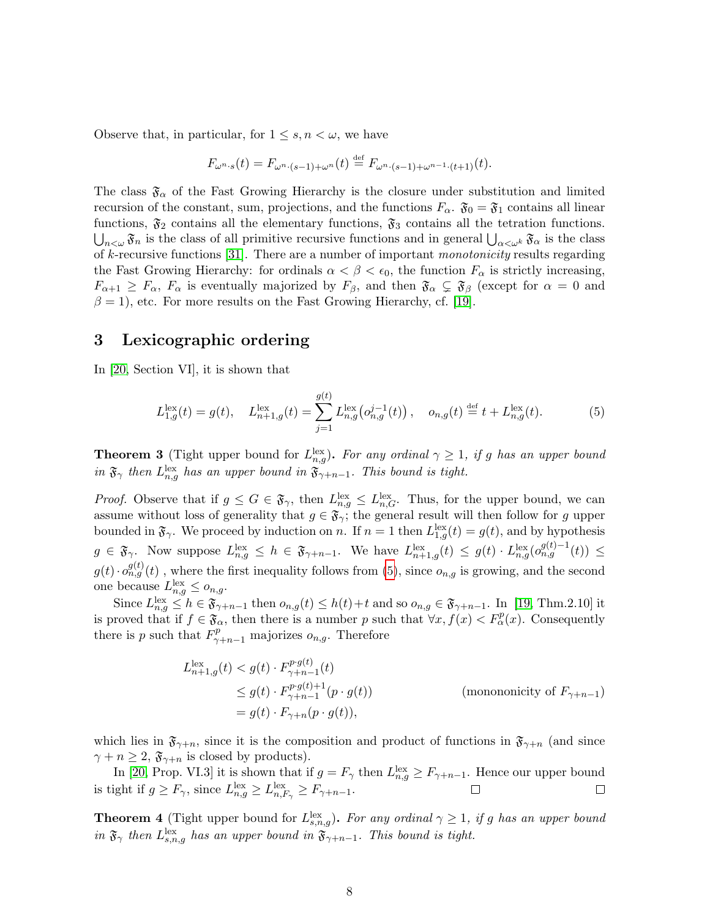Observe that, in particular, for  $1 \leq s, n < \omega$ , we have

$$
F_{\omega^{n} \cdot s}(t) = F_{\omega^{n} \cdot (s-1) + \omega^{n}}(t) \stackrel{\text{def}}{=} F_{\omega^{n} \cdot (s-1) + \omega^{n-1} \cdot (t+1)}(t).
$$

The class  $\mathfrak{F}_{\alpha}$  of the Fast Growing Hierarchy is the closure under substitution and limited recursion of the constant, sum, projections, and the functions  $F_{\alpha}$ .  $\mathfrak{F}_0 = \mathfrak{F}_1$  contains all linear functions,  $\mathfrak{F}_2$  contains all the elementary functions,  $\mathfrak{F}_3$  contains all the tetration functions.  $\bigcup_{n<\omega}\mathfrak{F}_n$  is the class of all primitive recursive functions and in general  $\bigcup_{\alpha<\omega^k}\mathfrak{F}_\alpha$  is the class of k-recursive functions [\[31\]](#page-27-3). There are a number of important monotonicity results regarding the Fast Growing Hierarchy: for ordinals  $\alpha < \beta < \epsilon_0$ , the function  $F_\alpha$  is strictly increasing,  $F_{\alpha+1} \geq F_{\alpha}$ ,  $F_{\alpha}$  is eventually majorized by  $F_{\beta}$ , and then  $\mathfrak{F}_{\alpha} \subsetneq \mathfrak{F}_{\beta}$  (except for  $\alpha = 0$  and  $\beta = 1$ , etc. For more results on the Fast Growing Hierarchy, cf. [\[19\]](#page-26-7).

### <span id="page-7-0"></span>3 Lexicographic ordering

In [\[20,](#page-26-8) Section VI], it is shown that

<span id="page-7-3"></span>
$$
L_{1,g}^{\text{lex}}(t) = g(t), \quad L_{n+1,g}^{\text{lex}}(t) = \sum_{j=1}^{g(t)} L_{n,g}^{\text{lex}}(o_{n,g}^{j-1}(t)), \quad o_{n,g}(t) \stackrel{\text{def}}{=} t + L_{n,g}^{\text{lex}}(t). \tag{5}
$$

<span id="page-7-1"></span>**Theorem 3** (Tight upper bound for  $L_{n,g}^{\text{lex}}$ ). For any ordinal  $\gamma \geq 1$ , if g has an upper bound in  $\mathfrak{F}_{\gamma}$  then  $L_{n,g}^{\text{lex}}$  has an upper bound in  $\mathfrak{F}_{\gamma+n-1}$ . This bound is tight.

*Proof.* Observe that if  $g \leq G \in \mathfrak{F}_{\gamma}$ , then  $L_{n,g}^{\text{lex}} \leq L_{n,G}^{\text{lex}}$ . Thus, for the upper bound, we can assume without loss of generality that  $g \in \mathfrak{F}_{\gamma}$ ; the general result will then follow for g upper bounded in  $\mathfrak{F}_{\gamma}$ . We proceed by induction on n. If  $n = 1$  then  $L_{1,g}^{\text{lex}}(t) = g(t)$ , and by hypothesis  $g \in \mathfrak{F}_{\gamma}$ . Now suppose  $L_{n,g}^{\text{lex}} \leq h \in \mathfrak{F}_{\gamma+n-1}$ . We have  $L_{n+1,g}^{\text{lex}}(t) \leq g(t) \cdot L_{n,g}^{\text{lex}}(o_{n,g}^{g(t)-1}(t)) \leq$  $g(t) \cdot o_{n,g}^{g(t)}(t)$ , where the first inequality follows from [\(5\)](#page-7-3), since  $o_{n,g}$  is growing, and the second one because  $L_{n,g}^{\text{lex}} \leq o_{n,g}.$ 

Since  $L_{n,g}^{\text{lex}} \leq h \in \mathfrak{F}_{\gamma+n-1}$  then  $o_{n,g}(t) \leq h(t)+t$  and so  $o_{n,g} \in \mathfrak{F}_{\gamma+n-1}$ . In [\[19,](#page-26-7) Thm.2.10] it is proved that if  $f \in \mathfrak{F}_{\alpha}$ , then there is a number p such that  $\forall x, f(x) < F_{\alpha}^{p}(x)$ . Consequently there is p such that  $F_{\gamma+n-1}^p$  majorizes  $o_{n,g}$ . Therefore

$$
L_{n+1,g}^{\text{lex}}(t) < g(t) \cdot F_{\gamma+n-1}^{p \cdot g(t)}(t)
$$
\n
$$
\leq g(t) \cdot F_{\gamma+n-1}^{p \cdot g(t)+1}(p \cdot g(t)) \qquad \text{(monononicity of } F_{\gamma+n-1})
$$
\n
$$
= g(t) \cdot F_{\gamma+n}(p \cdot g(t)),
$$

which lies in  $\mathfrak{F}_{\gamma+n}$ , since it is the composition and product of functions in  $\mathfrak{F}_{\gamma+n}$  (and since  $\gamma + n \geq 2$ ,  $\mathfrak{F}_{\gamma+n}$  is closed by products).

In [\[20,](#page-26-8) Prop. VI.3] it is shown that if  $g = F_{\gamma}$  then  $L_{n,g}^{\text{lex}} \geq F_{\gamma+n-1}$ . Hence our upper bound is tight if  $g \geq F_{\gamma}$ , since  $L_{n,g}^{\text{lex}} \geq L_{n,F_{\gamma}}^{\text{lex}} \geq F_{\gamma+n-1}$ .

<span id="page-7-2"></span>**Theorem 4** (Tight upper bound for  $L_{s,n,g}^{\text{lex}}$ ). For any ordinal  $\gamma \geq 1$ , if g has an upper bound in  $\mathfrak{F}_{\gamma}$  then  $L_{s,n,g}^{\text{lex}}$  has an upper bound in  $\mathfrak{F}_{\gamma+n-1}$ . This bound is tight.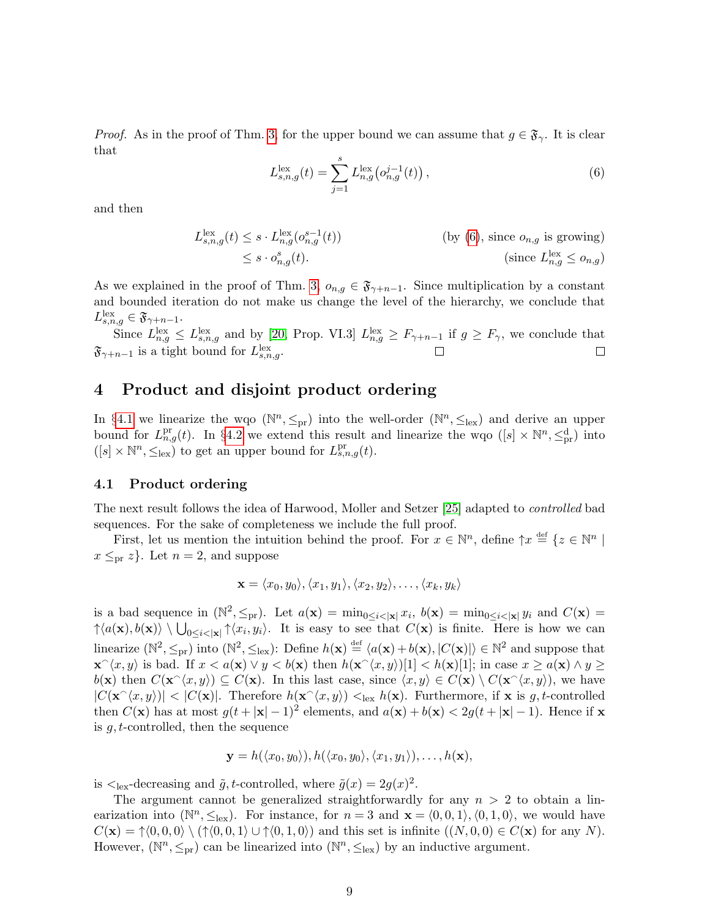*Proof.* As in the proof of Thm. [3,](#page-7-1) for the upper bound we can assume that  $g \in \mathfrak{F}_{\gamma}$ . It is clear that

<span id="page-8-1"></span>
$$
L_{s,n,g}^{\text{lex}}(t) = \sum_{j=1}^{s} L_{n,g}^{\text{lex}}(o_{n,g}^{j-1}(t)),
$$
\n(6)

and then

$$
L_{s,n,g}^{\text{lex}}(t) \leq s \cdot L_{n,g}^{\text{lex}}(o_{n,g}^{s-1}(t))
$$
 (by (6), since  $o_{n,g}$  is growing)  

$$
\leq s \cdot o_{n,g}^s(t).
$$
 (since  $L_{n,g}^{\text{lex}} \leq o_{n,g}$ )

As we explained in the proof of Thm. [3,](#page-7-1)  $o_{n,g} \in \mathfrak{F}_{\gamma+n-1}$ . Since multiplication by a constant and bounded iteration do not make us change the level of the hierarchy, we conclude that  $L_{s,n,g}^{\text{lex}} \in {\mathfrak{F}}_{\gamma+n-1}.$ 

Since  $L_{n,g}^{\text{lex}} \leq L_{s,n,g}^{\text{lex}}$  and by [\[20,](#page-26-8) Prop. VI.3]  $L_{n,g}^{\text{lex}} \geq F_{\gamma+n-1}$  if  $g \geq F_{\gamma}$ , we conclude that  $\mathfrak{F}_{\gamma+n-1}$  is a tight bound for  $L_{s,n,g}^{\text{lex}}$ .  $\Box$ 

### <span id="page-8-0"></span>4 Product and disjoint product ordering

In §[4.1](#page-8-2) we linearize the wqo  $(\mathbb{N}^n, \leq_{pr})$  into the well-order  $(\mathbb{N}^n, \leq_{lex})$  and derive an upper bound for  $L_{n,g}^{\text{pr}}(t)$ . In §[4.2](#page-10-2) we extend this result and linearize the wqo  $([s] \times \mathbb{N}^n, \leq_{\text{pr}}^{\text{d}})$  into  $([s] \times \mathbb{N}^n, \leq_{\text{lex}})$  to get an upper bound for  $L_{s,n,g}^{\text{pr}}(t)$ .

#### <span id="page-8-2"></span>4.1 Product ordering

The next result follows the idea of Harwood, Moller and Setzer [\[25\]](#page-26-13) adapted to controlled bad sequences. For the sake of completeness we include the full proof.

First, let us mention the intuition behind the proof. For  $x \in \mathbb{N}^n$ , define  $\uparrow x \stackrel{\text{def}}{=} \{z \in \mathbb{N}^n \mid z \in \mathbb{N}^n\}$  $x \leq_{\text{pr}} z$ . Let  $n = 2$ , and suppose

$$
\mathbf{x} = \langle x_0, y_0 \rangle, \langle x_1, y_1 \rangle, \langle x_2, y_2 \rangle, \dots, \langle x_k, y_k \rangle
$$

is a bad sequence in  $(\mathbb{N}^2, \leq_{\text{pr}})$ . Let  $a(\mathbf{x}) = \min_{0 \leq i < |\mathbf{x}|} x_i$ ,  $b(\mathbf{x}) = \min_{0 \leq i < |\mathbf{x}|} y_i$  and  $C(\mathbf{x}) =$  $\{\langle a(\mathbf{x}), b(\mathbf{x})\rangle \setminus \bigcup_{0\leq i<|\mathbf{x}|} \gamma\langle x_i, y_i\rangle\}$ . It is easy to see that  $C(\mathbf{x})$  is finite. Here is how we can linearize  $(\mathbb{N}^2, \leq_{\text{pr}})$  into  $(\mathbb{N}^2, \leq_{\text{lex}})$ : Define  $h(\mathbf{x}) \stackrel{\text{def}}{=} \langle a(\mathbf{x}) + b(\mathbf{x}), |C(\mathbf{x})| \rangle \in \mathbb{N}^2$  and suppose that  $\mathbf{x} \leq x \leq x, y$  is bad. If  $x < a(\mathbf{x}) \vee y < b(\mathbf{x})$  then  $h(\mathbf{x} \leq x, y)$ [1]  $\lt h(\mathbf{x})$ [1]; in case  $x \geq a(\mathbf{x}) \wedge y \geq x$  $b(\mathbf{x})$  then  $C(\mathbf{x} \hat{\;} \langle x, y \rangle) \subseteq C(\mathbf{x})$ . In this last case, since  $\langle x, y \rangle \in C(\mathbf{x}) \setminus C(\mathbf{x} \hat{\;} \langle x, y \rangle)$ , we have  $|C(\mathbf{x} \hat{\;} \langle x, y \rangle)| < |C(\mathbf{x})|$ . Therefore  $h(\mathbf{x} \hat{\;} \langle x, y \rangle) <_{\text{lex}} h(\mathbf{x})$ . Furthermore, if x is g, t-controlled then  $C(\mathbf{x})$  has at most  $g(t+|\mathbf{x}|-1)^2$  elements, and  $a(\mathbf{x})+b(\mathbf{x}) < 2g(t+|\mathbf{x}|-1)$ . Hence if x is g, t-controlled, then the sequence

$$
\mathbf{y}=h(\langle x_0,y_0\rangle),h(\langle x_0,y_0\rangle,\langle x_1,y_1\rangle),\ldots,h(\mathbf{x}),
$$

is  $\lt_{\text{lex}}$ -decreasing and  $\tilde{g}, t$ -controlled, where  $\tilde{g}(x) = 2g(x)^2$ .

The argument cannot be generalized straightforwardly for any  $n > 2$  to obtain a linearization into  $(\mathbb{N}^n, \leq_{\text{lex}})$ . For instance, for  $n = 3$  and  $\mathbf{x} = \langle 0, 0, 1 \rangle, \langle 0, 1, 0 \rangle$ , we would have  $C(\mathbf{x}) = \mathcal{p}(0, 0, 0) \setminus (\mathcal{p}(0, 0, 1) \cup \mathcal{p}(0, 1, 0))$  and this set is infinite  $((N, 0, 0) \in C(\mathbf{x})$  for any N). However,  $(\mathbb{N}^n, \leq_{\text{pr}})$  can be linearized into  $(\mathbb{N}^n, \leq_{\text{lex}})$  by an inductive argument.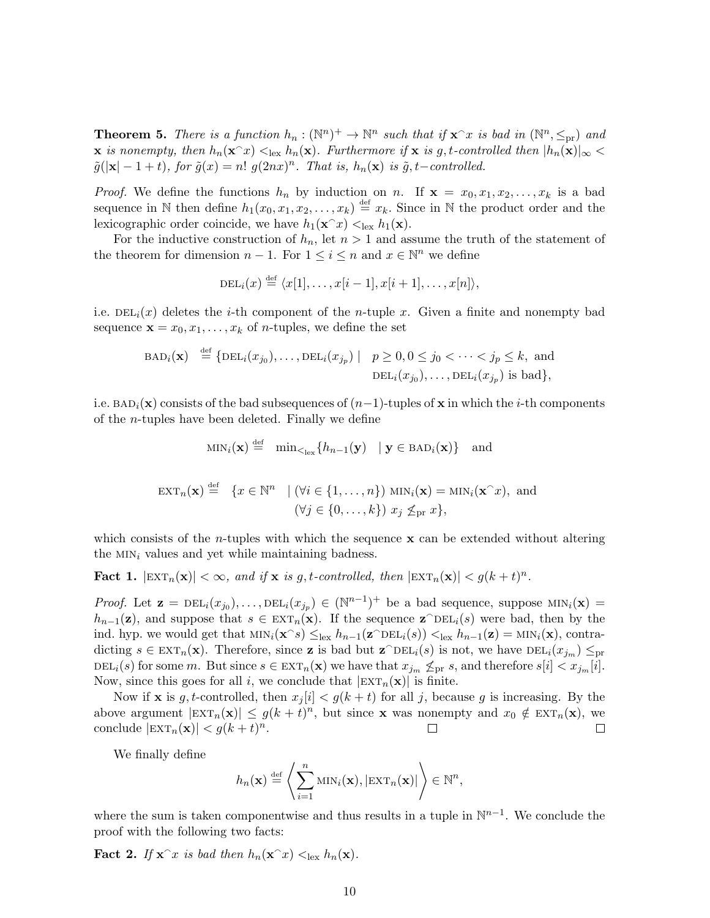<span id="page-9-0"></span>**Theorem 5.** There is a function  $h_n : (\mathbb{N}^n)^+ \to \mathbb{N}^n$  such that if  $\mathbf{x}^\frown x$  is bad in  $(\mathbb{N}^n, \leq_{\text{pr}})$  and  $\bf{x}$  is nonempty, then  $h_n(\mathbf{x}^T x) <_{\text{lex}} h_n(\mathbf{x})$ . Furthermore if  $\bf{x}$  is g, t-controlled then  $|h_n(\mathbf{x})|_{\infty}$  $\tilde{g}(|\mathbf{x}| - 1 + t)$ , for  $\tilde{g}(x) = n!$   $g(2nx)^n$ . That is,  $h_n(\mathbf{x})$  is  $\tilde{g}, t$ -controlled.

*Proof.* We define the functions  $h_n$  by induction on n. If  $\mathbf{x} = x_0, x_1, x_2, \ldots, x_k$  is a bad sequence in N then define  $h_1(x_0, x_1, x_2, \ldots, x_k) \stackrel{\text{def}}{=} x_k$ . Since in N the product order and the lexicographic order coincide, we have  $h_1(\mathbf{x}^\frown x) <_{\text{lex}} h_1(\mathbf{x})$ .

For the inductive construction of  $h_n$ , let  $n > 1$  and assume the truth of the statement of the theorem for dimension  $n-1$ . For  $1 \leq i \leq n$  and  $x \in \mathbb{N}^n$  we define

$$
\mathrm{DEL}_i(x) \stackrel{\mathrm{def}}{=} \langle x[1], \ldots, x[i-1], x[i+1], \ldots, x[n] \rangle,
$$

i.e.  $DEL_i(x)$  deletes the *i*-th component of the *n*-tuple x. Given a finite and nonempty bad sequence  $\mathbf{x} = x_0, x_1, \dots, x_k$  of *n*-tuples, we define the set

$$
\text{BAD}_i(\mathbf{x}) \stackrel{\text{def}}{=} \{ \text{DEL}_i(x_{j_0}), \dots, \text{DEL}_i(x_{j_p}) \mid p \ge 0, 0 \le j_0 < \dots < j_p \le k, \text{ and}
$$

$$
\text{DEL}_i(x_{j_0}), \dots, \text{DEL}_i(x_{j_p}) \text{ is bad} \},
$$

i.e.  $BAD_i(\mathbf{x})$  consists of the bad subsequences of  $(n-1)$ -tuples of x in which the *i*-th components of the n-tuples have been deleted. Finally we define

$$
\begin{aligned}\n\text{MIN}_i(\mathbf{x}) &\stackrel{\text{def}}{=} \min_{\leq_{\text{lex}}} \{ h_{n-1}(\mathbf{y}) \mid \mathbf{y} \in \text{BAD}_i(\mathbf{x}) \} \quad \text{and} \\
\text{EXT}_n(\mathbf{x}) &\stackrel{\text{def}}{=} \{ x \in \mathbb{N}^n \mid (\forall i \in \{1, \dots, n\}) \text{ MIN}_i(\mathbf{x}) = \text{MIN}_i(\mathbf{x}^\frown x), \text{ and} \\
(\forall j \in \{0, \dots, k\}) \ x_j \not\leq_{\text{pr}} x \},\n\end{aligned}
$$

which consists of the *n*-tuples with which the sequence  $x$  can be extended without altering the  $MIN_i$  values and yet while maintaining badness.

<span id="page-9-1"></span>**Fact 1.**  $|\text{EXT}_n(\mathbf{x})| < \infty$ , and if **x** is g, t-controlled, then  $|\text{EXT}_n(\mathbf{x})| < g(k+t)^n$ .

*Proof.* Let  $\mathbf{z} = \text{DEL}_i(x_{j_0}), \ldots, \text{DEL}_i(x_{j_p}) \in (\mathbb{N}^{n-1})^+$  be a bad sequence, suppose  $\text{MIN}_i(\mathbf{x}) =$  $h_{n-1}(z)$ , and suppose that  $s \in \text{EXT}_n(x)$ . If the sequence  $z^{\text{DEL}_i}(s)$  were bad, then by the ind. hyp. we would get that  $\min_i(\mathbf{x} \cap s) \leq_{\text{lex}} h_{n-1}(\mathbf{z} \cap \text{DEL}_i(s)) <_{\text{lex}} h_{n-1}(\mathbf{z}) = \min_i(\mathbf{x})$ , contradicting  $s \in \text{EXT}_n(\mathbf{x})$ . Therefore, since **z** is bad but  $\mathbf{z} \cap \text{DEL}_i(s)$  is not, we have  $\text{DEL}_i(x_{j_m}) \leq_{\text{pr}}$ DEL<sub>i</sub>(s) for some m. But since  $s \in \text{EXT}_n(\mathbf{x})$  we have that  $x_{j_m} \nleq_{\text{pr}} s$ , and therefore  $s[i] < x_{j_m}[i]$ . Now, since this goes for all i, we conclude that  $|\text{EXT}_n(\mathbf{x})|$  is finite.

Now if **x** is g, t-controlled, then  $x_i[i] < g(k+t)$  for all j, because g is increasing. By the above argument  $|\text{EXT}_n(\mathbf{x})| \leq g(k+t)^n$ , but since **x** was nonempty and  $x_0 \notin \text{EXT}_n(\mathbf{x})$ , we conclude  $|\text{EXT}_n(\mathbf{x})| < g(k+t)^n$ .  $\Box$  $\Box$ 

We finally define

$$
h_n(\mathbf{x}) \stackrel{\text{def}}{=} \left\langle \sum_{i=1}^n \text{MIN}_i(\mathbf{x}), |\text{EXT}_n(\mathbf{x})| \right\rangle \in \mathbb{N}^n,
$$

where the sum is taken componentwise and thus results in a tuple in  $\mathbb{N}^{n-1}$ . We conclude the proof with the following two facts:

**Fact 2.** If  $\mathbf{x}^{\frown}x$  is bad then  $h_n(\mathbf{x}^{\frown}x) <_{\text{lex}} h_n(\mathbf{x})$ .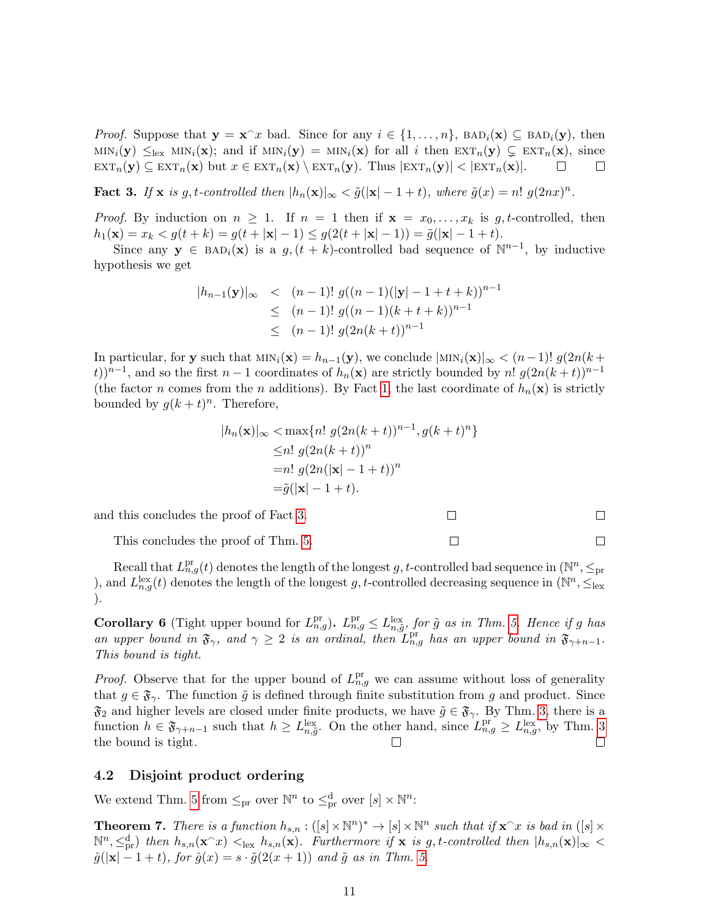*Proof.* Suppose that  $y = x^x$  bad. Since for any  $i \in \{1, ..., n\}$ ,  $BAD_i(x) \subseteq BAD_i(y)$ , then  $\text{MIN}_i(\mathbf{y}) \leq_{\text{lex}} \text{MIN}_i(\mathbf{x});$  and if  $\text{MIN}_i(\mathbf{y}) = \text{MIN}_i(\mathbf{x})$  for all i then  $\text{EXT}_n(\mathbf{y}) \subsetneq \text{EXT}_n(\mathbf{x}),$  since  $\text{EXT}_n(\mathbf{y}) \subseteq \text{EXT}_n(\mathbf{x})$  but  $x \in \text{EXT}_n(\mathbf{x}) \setminus \text{EXT}_n(\mathbf{y})$ . Thus  $|\text{EXT}_n(\mathbf{y})| < |\text{EXT}_n(\mathbf{x})|$ .  $\Box$  $\Box$ 

<span id="page-10-3"></span>**Fact 3.** If **x** is g, t-controlled then  $|h_n(\mathbf{x})|_{\infty} < \tilde{g}(|\mathbf{x}| - 1 + t)$ , where  $\tilde{g}(x) = n! g(2nx)^n$ .

*Proof.* By induction on  $n \geq 1$ . If  $n = 1$  then if  $\mathbf{x} = x_0, \ldots, x_k$  is g, t-controlled, then  $h_1(\mathbf{x}) = x_k < g(t+k) = g(t+|\mathbf{x}|-1) \leq g(2(t+|\mathbf{x}|-1)) = \tilde{g}(|\mathbf{x}|-1+t).$ 

Since any  $y \in BAD_i(x)$  is a  $g, (t+k)$ -controlled bad sequence of  $\mathbb{N}^{n-1}$ , by inductive hypothesis we get

$$
|h_{n-1}(\mathbf{y})|_{\infty} < (n-1)! g((n-1)(|\mathbf{y}| - 1 + t + k))^{n-1}
$$
  
\n
$$
\leq (n-1)! g((n-1)(k+t+k))^{n-1}
$$
  
\n
$$
\leq (n-1)! g(2n(k+t))^{n-1}
$$

In particular, for y such that  $\min_i(\mathbf{x}) = h_{n-1}(\mathbf{y})$ , we conclude  $|\min_i(\mathbf{x})|_{\infty} < (n-1)! g(2n(k+1))$ t))<sup>n-1</sup>, and so the first n – 1 coordinates of  $h_n(\mathbf{x})$  are strictly bounded by n!  $g(2n(k+t))^{n-1}$ (the factor n comes from the n additions). By Fact [1,](#page-9-1) the last coordinate of  $h_n(\mathbf{x})$  is strictly bounded by  $g(k+t)^n$ . Therefore,

$$
|h_n(\mathbf{x})|_{\infty} < \max\{n! \ g(2n(k+t))^{n-1}, g(k+t)^n\}
$$
  
\n
$$
\leq n! \ g(2n(k+t))^n
$$
  
\n
$$
= n! \ g(2n(|\mathbf{x}| - 1 + t))^n
$$
  
\n
$$
= \tilde{g}(|\mathbf{x}| - 1 + t).
$$

 $\Box$ 

 $\Box$ 

 $\Box$ 

 $\Box$ 

and this concludes the proof of Fact [3.](#page-10-3)

This concludes the proof of Thm. [5.](#page-9-0)

Recall that  $L_{n,g}^{\text{pr}}(t)$  denotes the length of the longest g, t-controlled bad sequence in  $(\mathbb{N}^n, \leq_{\text{pr}})$ ), and  $L_{n,g}^{\text{lex}}(t)$  denotes the length of the longest g, t-controlled decreasing sequence in  $(\mathbb{N}^n, \leq_{\text{lex}})$ ).

<span id="page-10-1"></span>**Corollary 6** (Tight upper bound for  $L_{n,g}^{\text{pr}}$ ).  $L_{n,g}^{\text{pr}} \le L_{n,\tilde{g}}^{\text{lex}},$  for  $\tilde{g}$  as in Thm. [5.](#page-9-0) Hence if g has an upper bound in  $\mathfrak{F}_{\gamma}$ , and  $\gamma \geq 2$  is an ordinal, then  $L_{n,g}^{\text{pr}}$  has an upper bound in  $\mathfrak{F}_{\gamma+n-1}$ . This bound is tight.

*Proof.* Observe that for the upper bound of  $L_{n,g}^{\text{pr}}$  we can assume without loss of generality that  $g \in \mathfrak{F}_{\gamma}$ . The function  $\tilde{g}$  is defined through finite substitution from g and product. Since  $\mathfrak{F}_2$  and higher levels are closed under finite products, we have  $\tilde{g} \in \mathfrak{F}_{\gamma}$ . By Thm. [3,](#page-7-1) there is a function  $h \in \mathfrak{F}_{\gamma+n-1}$  such that  $h \ge L_{n,\tilde{g}}^{\text{lex}}$ . On the other hand, since  $L_{n,g}^{\text{pr}} \ge L_{n,g}^{\text{lex}}$ , by Thm. [3](#page-7-1) the bound is tight.  $\Box$  $\Box$ 

#### <span id="page-10-2"></span>4.2 Disjoint product ordering

We extend Thm. [5](#page-9-0) from  $\leq_{\text{pr}}$  over  $\mathbb{N}^n$  to  $\leq_{\text{pr}}^d$  over  $[s] \times \mathbb{N}^n$ :

<span id="page-10-0"></span>**Theorem 7.** There is a function  $h_{s,n} : ([s] \times \mathbb{N}^n)^* \to [s] \times \mathbb{N}^n$  such that if  $\mathbf{x}^\frown x$  is bad in  $([s] \times \mathbb{N}^n)^*$  $\mathbb{N}^n, \leq_{\text{pr}}^d$ ) then  $h_{s,n}(\mathbf{x}^\frown x) <_{\text{lex}} h_{s,n}(\mathbf{x})$ . Furthermore if  $\mathbf{x}$  is g, t-controlled then  $|h_{s,n}(\mathbf{x})|_\infty <$  $\tilde{g}(|\mathbf{x}|-1+t)$ , for  $\tilde{g}(x)=s\cdot \tilde{g}(2(x+1))$  and  $\tilde{g}$  as in Thm. [5.](#page-9-0)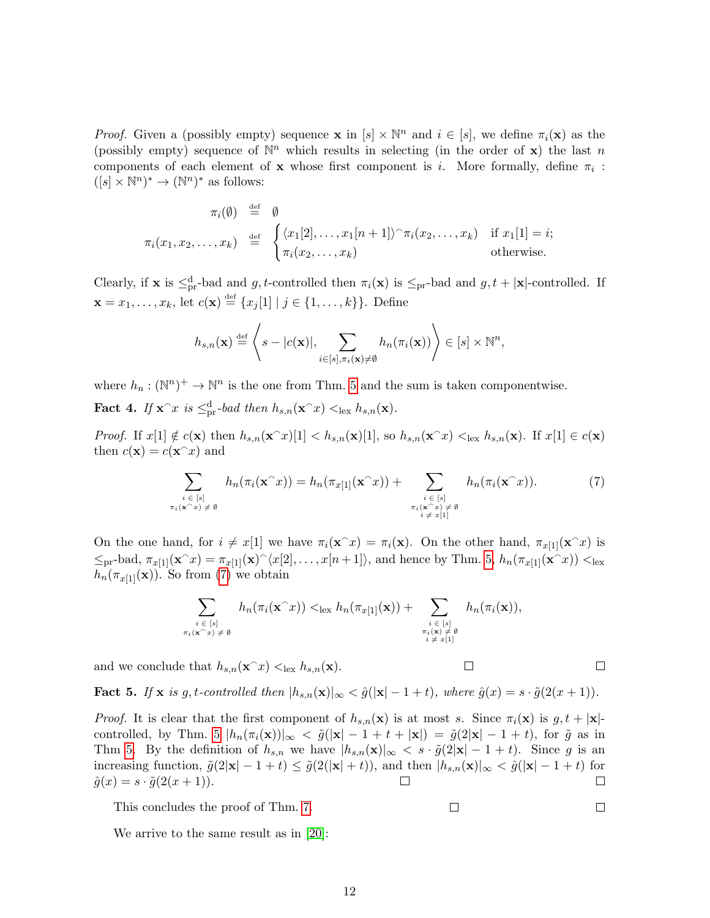*Proof.* Given a (possibly empty) sequence **x** in  $[s] \times \mathbb{N}^n$  and  $i \in [s]$ , we define  $\pi_i(\mathbf{x})$  as the (possibly empty) sequence of  $\mathbb{N}^n$  which results in selecting (in the order of x) the last n components of each element of **x** whose first component is *i*. More formally, define  $\pi_i$ :  $([s] \times \mathbb{N}^n)^* \to (\mathbb{N}^n)^*$  as follows:

$$
\pi_i(\emptyset) \stackrel{\text{def}}{=} \emptyset
$$
  

$$
\pi_i(x_1, x_2, \dots, x_k) \stackrel{\text{def}}{=} \begin{cases} \langle x_1[2], \dots, x_1[n+1] \rangle \cap \pi_i(x_2, \dots, x_k) & \text{if } x_1[1] = i; \\ \pi_i(x_2, \dots, x_k) & \text{otherwise.} \end{cases}
$$

Clearly, if **x** is  $\leq_{\text{pr}}^d$ -bad and g, t-controlled then  $\pi_i(\mathbf{x})$  is  $\leq_{\text{pr}}$ -bad and g,  $t + |\mathbf{x}|$ -controlled. If  $\mathbf{x} = x_1, \dots, x_k$ , let  $c(\mathbf{x}) \stackrel{\text{def}}{=} \{x_j[1] \mid j \in \{1, \dots, k\}\}$ . Define

$$
h_{s,n}(\mathbf{x}) \stackrel{\text{def}}{=} \left\langle s - |c(\mathbf{x})|, \sum_{i \in [s], \pi_i(\mathbf{x}) \neq \emptyset} h_n(\pi_i(\mathbf{x})) \right\rangle \in [s] \times \mathbb{N}^n,
$$

where  $h_n : (\mathbb{N}^n)^+ \to \mathbb{N}^n$  is the one from Thm. [5](#page-9-0) and the sum is taken componentwise.

**Fact 4.** If  $\mathbf{x}^{\frown}x$  is  $\leq_{\text{pr}}^{\text{d}}$ -bad then  $h_{s,n}(\mathbf{x}^{\frown}x) <_{\text{lex}} h_{s,n}(\mathbf{x})$ .

*Proof.* If  $x[1] \notin c(\mathbf{x})$  then  $h_{s,n}(\mathbf{x}^\top x)[1] < h_{s,n}(\mathbf{x})[1]$ , so  $h_{s,n}(\mathbf{x}^\top x) <_{\text{lex}} h_{s,n}(\mathbf{x})$ . If  $x[1] \in c(\mathbf{x})$ then  $c(\mathbf{x}) = c(\mathbf{x} \hat{ }^{\mathbf{\hat{r}}})$  and

<span id="page-11-0"></span>
$$
\sum_{\substack{i \in [s] \\ \pi_i(\mathbf{x}^\frown x) \neq \emptyset}} h_n(\pi_i(\mathbf{x}^\frown x)) = h_n(\pi_{x[1]}(\mathbf{x}^\frown x)) + \sum_{\substack{i \in [s] \\ \pi_i(\mathbf{x}^\frown x) \neq \emptyset \\ i \neq x[1]}} h_n(\pi_i(\mathbf{x}^\frown x)). \tag{7}
$$

 $\Box$ 

 $\Box$ 

On the one hand, for  $i \neq x[1]$  we have  $\pi_i(\mathbf{x}^\frown x) = \pi_i(\mathbf{x})$ . On the other hand,  $\pi_{x[1]}(\mathbf{x}^\frown x)$  is  $\leq_{\text{pr}}$ -bad,  $\pi_{x[1]}(\mathbf{x}^{\frown}x) = \pi_{x[1]}(\mathbf{x})^{\frown}\langle x[2], \ldots, x[n+1]\rangle$ , and hence by Thm. [5,](#page-9-0)  $h_n(\pi_{x[1]}(\mathbf{x}^{\frown}x)) <_{\text{lex}}$  $h_n(\pi_{x[1]}(\mathbf{x}))$ . So from [\(7\)](#page-11-0) we obtain

$$
\sum_{\substack{i \in [s] \\ \pi_i(\mathbf{x}^\frown x) \neq \emptyset}} h_n(\pi_i(\mathbf{x}^\frown x)) <_{\text{lex}} h_n(\pi_{x[1]}(\mathbf{x})) + \sum_{\substack{i \in [s] \\ \pi_i(\mathbf{x}^\frown x) \neq \emptyset \\ i \neq x[1]}} h_n(\pi_i(\mathbf{x})),
$$

and we conclude that  $h_{s,n}(\mathbf{x}^T x) <_{\text{lex}} h_{s,n}(\mathbf{x})$ .

Fact 5. If x is g, t-controlled then  $|h_{s,n}(\mathbf{x})|_{\infty} < \hat{g}(|\mathbf{x}| - 1 + t)$ , where  $\hat{g}(x) = s \cdot \tilde{g}(2(x+1))$ .

*Proof.* It is clear that the first component of  $h_{s,n}(\mathbf{x})$  is at most s. Since  $\pi_i(\mathbf{x})$  is  $g, t + |\mathbf{x}|$ -controlled, by Thm. [5](#page-9-0)  $|h_n(\pi_i(\mathbf{x}))|_{\infty} < \tilde{g}(|\mathbf{x}| - 1 + t + |\mathbf{x}|) = \tilde{g}(2|\mathbf{x}| - 1 + t)$ , for  $\tilde{g}$  as in Thm [5.](#page-9-0) By the definition of  $h_{s,n}$  we have  $|h_{s,n}(\mathbf{x})|_{\infty} < s \cdot \tilde{g}(2|\mathbf{x}| - 1 + t)$ . Since g is an increasing function,  $\tilde{g}(2|\mathbf{x}| - 1 + t) \leq \tilde{g}(2(|\mathbf{x}| + t))$ , and then  $|h_{s,n}(\mathbf{x})|_{\infty} < \hat{g}(|\mathbf{x}| - 1 + t)$  for  $\hat{g}(x) = s \cdot \tilde{g}(2(x+1)).$  $\Box$ 

This concludes the proof of Thm. [7.](#page-10-0)

$$
f_{\rm{max}}
$$

 $\Box$ 

 $\Box$ 

We arrive to the same result as in [\[20\]](#page-26-8):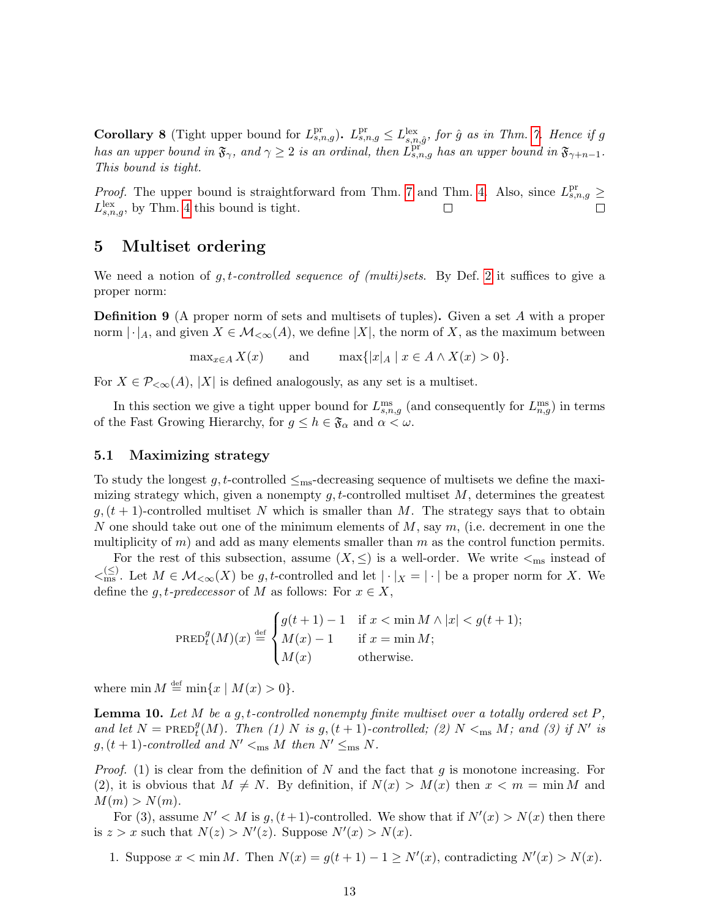<span id="page-12-1"></span>**Corollary 8** (Tight upper bound for  $L_{s,n,g}^{\text{pr}}$ ).  $L_{s,n,g}^{\text{pr}} \le L_{s,n,\hat{g}}^{\text{lex}},$  for  $\hat{g}$  as in Thm. [7.](#page-10-0) Hence if g has an upper bound in  $\mathfrak{F}_{\gamma}$ , and  $\gamma \geq 2$  is an ordinal, then  $L_{s,n,g}^{\text{pri}}$  has an upper bound in  $\mathfrak{F}_{\gamma+n-1}$ . This bound is tight.

*Proof.* The upper bound is straightforward from Thm. [7](#page-10-0) and Thm. [4.](#page-7-2) Also, since  $L_{s,n,g}^{\text{pr}} \geq$  $L_{s,n,g}^{\text{lex}},$  by Thm. [4](#page-7-2) this bound is tight.  $\perp$ 

### <span id="page-12-0"></span>5 Multiset ordering

We need a notion of  $g, t$ -controlled sequence of (multi)sets. By Def. [2](#page-1-2) it suffices to give a proper norm:

<span id="page-12-2"></span>Definition 9 (A proper norm of sets and multisets of tuples). Given a set A with a proper norm  $\lvert \cdot \rvert_A$ , and given  $X \in \mathcal{M}_{\leq \infty}(A)$ , we define  $|X|$ , the norm of X, as the maximum between

 $\max_{x \in A} X(x)$  and  $\max\{|x|_A \mid x \in A \wedge X(x) > 0\}.$ 

For  $X \in \mathcal{P}_{\leq \infty}(A)$ , |X| is defined analogously, as any set is a multiset.

In this section we give a tight upper bound for  $L_{s,n,g}^{\text{ms}}$  (and consequently for  $L_{n,g}^{\text{ms}}$ ) in terms of the Fast Growing Hierarchy, for  $g \leq h \in \mathfrak{F}_{\alpha}$  and  $\alpha < \omega$ .

#### 5.1 Maximizing strategy

To study the longest g, t-controlled  $\leq_{\text{ms}}$ -decreasing sequence of multisets we define the maximizing strategy which, given a nonempty  $g, t$ -controlled multiset  $M$ , determines the greatest  $g, (t + 1)$ -controlled multiset N which is smaller than M. The strategy says that to obtain N one should take out one of the minimum elements of  $M$ , say  $m$ , (i.e. decrement in one the multiplicity of  $m$ ) and add as many elements smaller than  $m$  as the control function permits.

For the rest of this subsection, assume  $(X, \leq)$  is a well-order. We write  $\leq_{\text{ms}}$  instead of  $\langle \xi | \xi \rangle$ . Let  $M \in \mathcal{M}_{\leq \infty}(X)$  be g, t-controlled and let  $|\cdot|_X = |\cdot|$  be a proper norm for X. We define the g, t-predecessor of M as follows: For  $x \in X$ ,

$$
\operatorname{PRED}_{t}^{g}(M)(x) \stackrel{\text{def}}{=} \begin{cases} g(t+1) - 1 & \text{if } x < \min M \wedge |x| < g(t+1); \\ M(x) - 1 & \text{if } x = \min M; \\ M(x) & \text{otherwise.} \end{cases}
$$

where  $\min M \stackrel{\text{def}}{=} \min\{x \mid M(x) > 0\}.$ 

**Lemma 10.** Let M be a g, t-controlled nonempty finite multiset over a totally ordered set P, and let  $N = \text{PRED}_{t}^{g}(M)$ . Then (1) N is  $g,(t + 1)$ -controlled; (2) N <ms M; and (3) if N' is  $g,(t + 1)$ -controlled and  $N' <_{\text{ms}} M$  then  $N' \leq_{\text{ms}} N$ .

*Proof.* (1) is clear from the definition of N and the fact that g is monotone increasing. For (2), it is obvious that  $M \neq N$ . By definition, if  $N(x) > M(x)$  then  $x < m = \min M$  and  $M(m) > N(m)$ .

For (3), assume  $N' < M$  is  $g, (t+1)$ -controlled. We show that if  $N'(x) > N(x)$  then there is  $z > x$  such that  $N(z) > N'(z)$ . Suppose  $N'(x) > N(x)$ .

1. Suppose  $x < \min M$ . Then  $N(x) = g(t+1) - 1 \ge N'(x)$ , contradicting  $N'(x) > N(x)$ .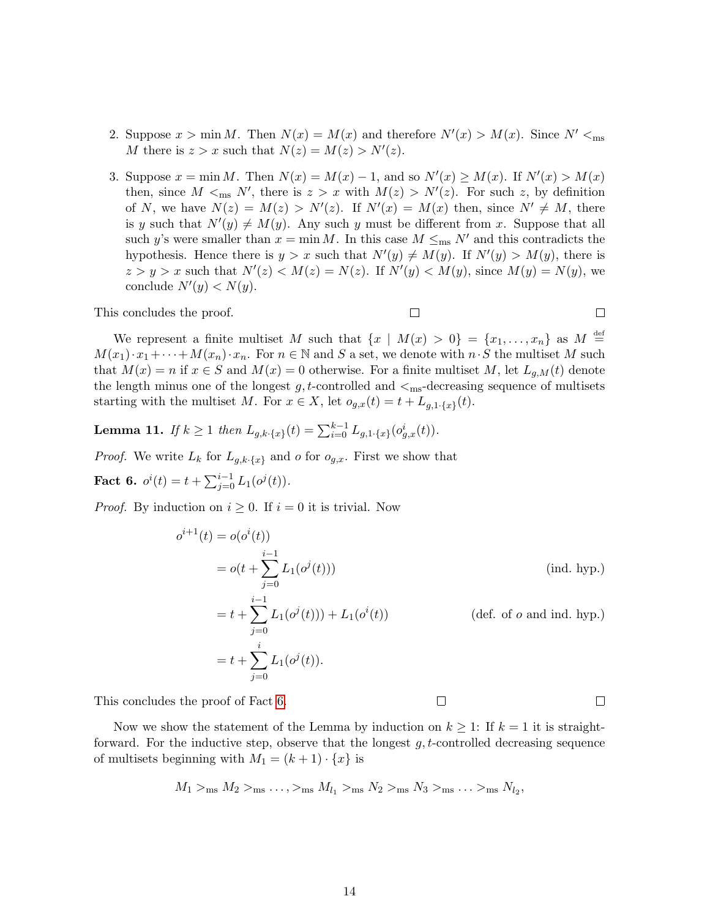- 2. Suppose  $x > \min M$ . Then  $N(x) = M(x)$  and therefore  $N'(x) > M(x)$ . Since  $N' <$ <sub>ms</sub> M there is  $z > x$  such that  $N(z) = M(z) > N'(z)$ .
- 3. Suppose  $x = \min M$ . Then  $N(x) = M(x) 1$ , and so  $N'(x) \ge M(x)$ . If  $N'(x) > M(x)$ then, since  $M <_{\text{ms}} N'$ , there is  $z > x$  with  $M(z) > N'(z)$ . For such z, by definition of N, we have  $N(z) = M(z) > N'(z)$ . If  $N'(x) = M(x)$  then, since  $N' \neq M$ , there is y such that  $N'(y) \neq M(y)$ . Any such y must be different from x. Suppose that all such y's were smaller than  $x = \min M$ . In this case  $M \leq_{\text{ms}} N'$  and this contradicts the hypothesis. Hence there is  $y > x$  such that  $N'(y) \neq M(y)$ . If  $N'(y) > M(y)$ , there is  $z > y > x$  such that  $N'(z) < M(z) = N(z)$ . If  $N'(y) < M(y)$ , since  $M(y) = N(y)$ , we conclude  $N'(y) < N(y)$ .

This concludes the proof.

$$
f_{\rm{max}}
$$

 $\Box$ 

 $\Box$ 

 $\Box$ 

We represent a finite multiset M such that  $\{x \mid M(x) > 0\} = \{x_1, \ldots, x_n\}$  as  $M \stackrel{\text{def}}{=}$  $M(x_1) \cdot x_1 + \cdots + M(x_n) \cdot x_n$ . For  $n \in \mathbb{N}$  and S a set, we denote with  $n \cdot S$  the multiset M such that  $M(x) = n$  if  $x \in S$  and  $M(x) = 0$  otherwise. For a finite multiset M, let  $L_{g,M}(t)$  denote the length minus one of the longest  $g, t$ -controlled and  $\lt_{\text{ms}}$ -decreasing sequence of multisets starting with the multiset M. For  $x \in X$ , let  $o_{g,x}(t) = t + L_{g,1}(\mathfrak{x})$ .

<span id="page-13-1"></span>**Lemma 11.** If  $k \ge 1$  then  $L_{g,k} \{x\}(t) = \sum_{i=0}^{k-1} L_{g,1} \{x\}(o_{g,x}^i(t))$ .

*Proof.* We write  $L_k$  for  $L_{g,k}$ .  $\{x\}$  and o for  $o_{g,x}$ . First we show that

<span id="page-13-0"></span>**Fact 6.**  $o^{i}(t) = t + \sum_{j=0}^{i-1} L_1(o^{j}(t)).$ 

*Proof.* By induction on  $i \geq 0$ . If  $i = 0$  it is trivial. Now

$$
o^{i+1}(t) = o(o^{i}(t))
$$
  
=  $o(t + \sum_{j=0}^{i-1} L_1(o^{j}(t)))$  (ind. hyp.)  
=  $t + \sum_{j=0}^{i-1} L_1(o^{j}(t)) + L_1(o^{i}(t))$  (def. of *o* and ind. hyp.)  
=  $t + \sum_{j=0}^{i} L_1(o^{j}(t)).$ 

 $\Box$ 

This concludes the proof of Fact [6.](#page-13-0)

Now we show the statement of the Lemma by induction on  $k \geq 1$ : If  $k = 1$  it is straightforward. For the inductive step, observe that the longest  $q, t$ -controlled decreasing sequence of multisets beginning with  $M_1 = (k+1) \cdot \{x\}$  is

$$
M_1 >_{\text{ms}} M_2 >_{\text{ms}} \ldots, >_{\text{ms}} M_{l_1} >_{\text{ms}} N_2 >_{\text{ms}} N_3 >_{\text{ms}} \ldots >_{\text{ms}} N_{l_2},
$$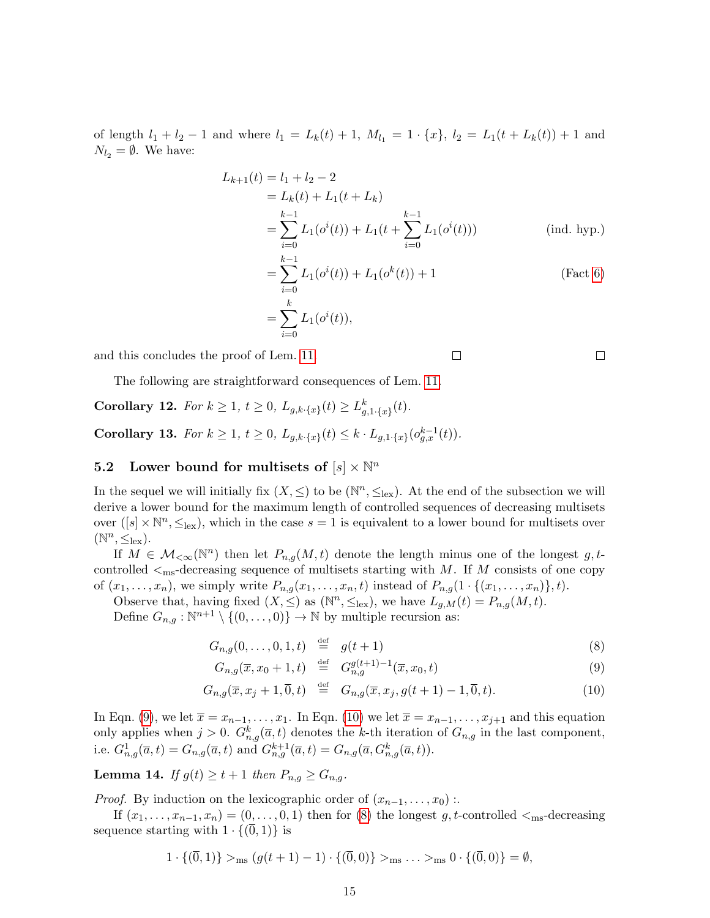of length  $l_1 + l_2 - 1$  and where  $l_1 = L_k(t) + 1$ ,  $M_{l_1} = 1 \cdot \{x\}$ ,  $l_2 = L_1(t + L_k(t)) + 1$  and  $N_{l_2} = \emptyset$ . We have:

$$
L_{k+1}(t) = l_1 + l_2 - 2
$$
  
=  $L_k(t) + L_1(t + L_k)$   
=  $\sum_{i=0}^{k-1} L_1(o^i(t)) + L_1(t + \sum_{i=0}^{k-1} L_1(o^i(t)))$  (ind. hyp.)  
=  $\sum_{i=0}^{k-1} L_1(o^i(t)) + L_1(o^k(t)) + 1$  (Fact 6)  
=  $\sum_{i=0}^{k} L_1(o^i(t)),$ 

 $\Box$ 

and this concludes the proof of Lem. [11.](#page-13-1)

The following are straightforward consequences of Lem. [11.](#page-13-1)

<span id="page-14-1"></span>Corollary 12. For  $k \geq 1$ ,  $t \geq 0$ ,  $L_{g,k} \{x\}(t) \geq L_{g,1}^{k} \{x\}(t)$ .

<span id="page-14-3"></span>Corollary 13. For  $k \ge 1$ ,  $t \ge 0$ ,  $L_{g,k} (t) \le k \cdot L_{g,1} (t) c_{g,x}^{k-1}(t)$ .

# <span id="page-14-4"></span>5.2 Lower bound for multisets of  $[s] \times \mathbb{N}^n$

In the sequel we will initially fix  $(X, \leq)$  to be  $(\mathbb{N}^n, \leq_{\text{lex}})$ . At the end of the subsection we will derive a lower bound for the maximum length of controlled sequences of decreasing multisets over  $([s] \times \mathbb{N}^n, \leq_{\text{lex}})$ , which in the case  $s = 1$  is equivalent to a lower bound for multisets over  $(\mathbb{N}^n, \leq_{\text{lex}}).$ 

If  $M \in \mathcal{M}_{\leq \infty}(\mathbb{N}^n)$  then let  $P_{n,g}(M,t)$  denote the length minus one of the longest g, tcontrolled  $\leq_{\text{ms}}$ -decreasing sequence of multisets starting with M. If M consists of one copy of  $(x_1, \ldots, x_n)$ , we simply write  $P_{n,q}(x_1, \ldots, x_n, t)$  instead of  $P_{n,q}(1 \cdot \{(x_1, \ldots, x_n)\}, t)$ .

Observe that, having fixed  $(X, \leq)$  as  $(\mathbb{N}^n, \leq_{\text{lex}})$ , we have  $L_{g,M}(t) = P_{n,g}(M, t)$ . Define  $G_{n,g}: \mathbb{N}^{n+1} \setminus \{(0,\ldots,0)\} \to \mathbb{N}$  by multiple recursion as:

<span id="page-14-0"></span> $G_{n,g}(0,\ldots,0,1,t) \stackrel{\text{def}}{=} g(t+1)$  (8)

$$
G_{n,q}(\overline{x}, x_0 + 1, t) \stackrel{\text{def}}{=} G_{n,q}^{g(t+1)-1}(\overline{x}, x_0, t) \tag{9}
$$

$$
G_{n,g}(\overline{x}, x_0 + 1, t) \stackrel{\text{def}}{=} G_{n,g}^{g(t+1)-1}(\overline{x}, x_0, t) \tag{9}
$$

$$
G_{n,g}(\overline{x}, x_j + 1, \overline{0}, t) \stackrel{\text{def}}{=} G_{n,g}(\overline{x}, x_j, g(t+1) - 1, \overline{0}, t). \tag{10}
$$

In Eqn. [\(9\)](#page-14-0), we let  $\overline{x} = x_{n-1}, \ldots, x_1$ . In Eqn. [\(10\)](#page-14-0) we let  $\overline{x} = x_{n-1}, \ldots, x_{j+1}$  and this equation only applies when  $j > 0$ .  $G_{n,g}^k(\overline{a}, t)$  denotes the k-th iteration of  $G_{n,g}$  in the last component, i.e.  $G_{n,g}^1(\overline{a},t) = G_{n,g}(\overline{a},t)$  and  $G_{n,g}^{k+1}(\overline{a},t) = G_{n,g}(\overline{a},G_{n,g}^k(\overline{a},t)).$ 

<span id="page-14-2"></span>**Lemma 14.** If  $g(t) \geq t+1$  then  $P_{n,q} \geq G_{n,q}$ .

*Proof.* By induction on the lexicographic order of  $(x_{n-1}, \ldots, x_0)$ :

If  $(x_1, \ldots, x_{n-1}, x_n) = (0, \ldots, 0, 1)$  then for [\(8\)](#page-14-0) the longest g, t-controlled  $\leq_{\text{ms}}$ -decreasing sequence starting with  $1 \cdot \{(\overline{0}, 1)\}\$ is

$$
1 \cdot \{(\overline{0},1)\} >_{\text{ms}} (g(t+1)-1) \cdot \{(\overline{0},0)\} >_{\text{ms}} \ldots >_{\text{ms}} 0 \cdot \{(\overline{0},0)\} = \emptyset,
$$

 $\Box$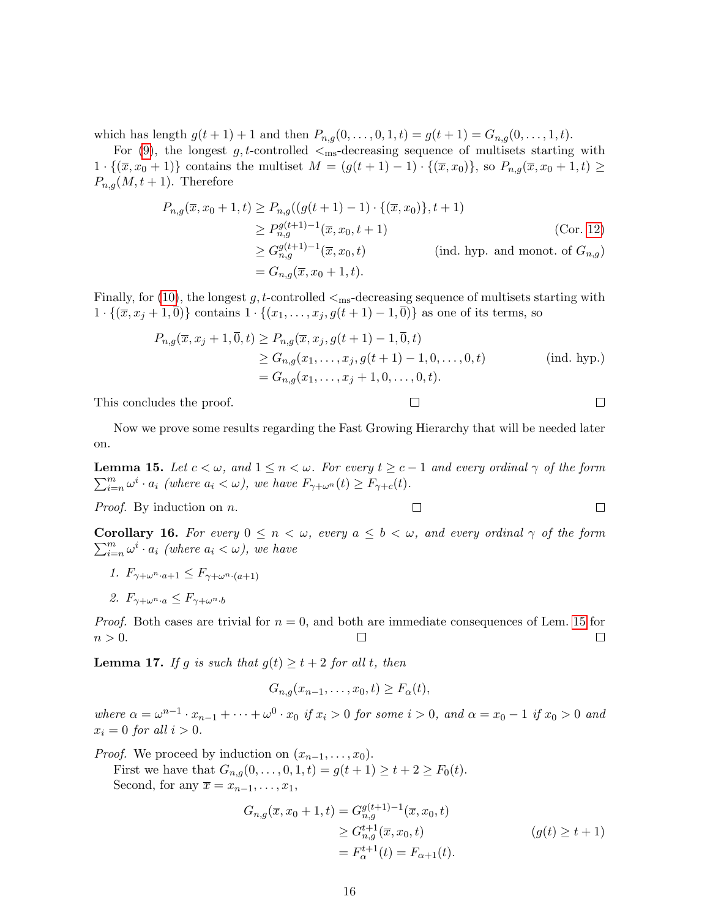which has length  $g(t + 1) + 1$  and then  $P_{n,q}(0, \ldots, 0, 1, t) = g(t + 1) = G_{n,q}(0, \ldots, 1, t)$ .

For [\(9\)](#page-14-0), the longest g, t-controlled  $\leq_{\text{ms}}$ -decreasing sequence of multisets starting with  $1 \cdot \{(\bar{x}, x_0 + 1)\}\)$  contains the multiset  $M = (g(t + 1) - 1) \cdot \{(\bar{x}, x_0)\}\)$ , so  $P_{n,q}(\bar{x}, x_0 + 1, t) \geq 0$  $P_{n,g}(M, t+1)$ . Therefore

$$
P_{n,g}(\overline{x}, x_0 + 1, t) \ge P_{n,g}((g(t + 1) - 1) \cdot \{(\overline{x}, x_0)\}, t + 1)
$$
  
\n
$$
\ge P_{n,g}^{g(t+1)-1}(\overline{x}, x_0, t + 1)
$$
  
\n
$$
\ge G_{n,g}^{g(t+1)-1}(\overline{x}, x_0, t)
$$
  
\n
$$
= G_{n,g}(\overline{x}, x_0 + 1, t).
$$
 (ind. hyp. and monot. of  $G_{n,g}$ )

Finally, for [\(10\)](#page-14-0), the longest g, t-controlled  $\leq_{\text{ms}}$ -decreasing sequence of multisets starting with  $1 \cdot \{(\overline{x}, x_j + 1, \overline{0})\}$  contains  $1 \cdot \{(x_1, \ldots, x_j, g(t+1) - 1, \overline{0})\}$  as one of its terms, so

$$
P_{n,g}(\overline{x}, x_j + 1, \overline{0}, t) \ge P_{n,g}(\overline{x}, x_j, g(t+1) - 1, \overline{0}, t)
$$
  
\n
$$
\ge G_{n,g}(x_1, \dots, x_j, g(t+1) - 1, 0, \dots, 0, t)
$$
  
\n
$$
= G_{n,g}(x_1, \dots, x_j + 1, 0, \dots, 0, t).
$$
 (ind. hyp.)

 $\Box$ 

 $\Box$ 

 $\Box$ 

 $\Box$ 

This concludes the proof.

Now we prove some results regarding the Fast Growing Hierarchy that will be needed later on.

<span id="page-15-0"></span>**Lemma 15.** Let  $c < \omega$ , and  $1 \leq n < \omega$ . For every  $t \geq c-1$  and every ordinal  $\gamma$  of the form  $\sum_{i=n}^{m} \omega^{i} \cdot a_{i}$  (where  $a_{i} < \omega$ ), we have  $F_{\gamma+\omega^{n}}(t) \geq F_{\gamma+c}(t)$ .

Proof. By induction on n.

<span id="page-15-1"></span>**Corollary 16.** For every  $0 \leq n < \omega$ , every  $a \leq b < \omega$ , and every ordinal  $\gamma$  of the form  $\sum_{i=n}^{m} \omega^i \cdot a_i$  (where  $a_i < \omega$ ), we have

- 1.  $F_{\gamma+\omega^n \cdot a+1} \leq F_{\gamma+\omega^n \cdot (a+1)}$
- 2.  $F_{\gamma+\omega^n \cdot a} \leq F_{\gamma+\omega^n \cdot b}$

*Proof.* Both cases are trivial for  $n = 0$ , and both are immediate consequences of Lem. [15](#page-15-0) for  $n > 0$ .  $\Box$  $\Box$ 

<span id="page-15-2"></span>**Lemma 17.** If g is such that  $g(t) \ge t + 2$  for all t, then

$$
G_{n,g}(x_{n-1},\ldots,x_0,t)\geq F_{\alpha}(t),
$$

where  $\alpha = \omega^{n-1} \cdot x_{n-1} + \cdots + \omega^0 \cdot x_0$  if  $x_i > 0$  for some  $i > 0$ , and  $\alpha = x_0 - 1$  if  $x_0 > 0$  and  $x_i = 0$  for all  $i > 0$ .

*Proof.* We proceed by induction on  $(x_{n-1}, \ldots, x_0)$ .

First we have that  $G_{n,g}(0,\ldots,0,1,t) = g(t+1) \ge t+2 \ge F_0(t)$ . Second, for any  $\overline{x} = x_{n-1}, \ldots, x_1$ ,

$$
G_{n,g}(\overline{x}, x_0 + 1, t) = G_{n,g}^{g(t+1)-1}(\overline{x}, x_0, t)
$$
  
\n
$$
\geq G_{n,g}^{t+1}(\overline{x}, x_0, t)
$$
  
\n
$$
= F_{\alpha}^{t+1}(t) = F_{\alpha+1}(t).
$$
  
\n
$$
(g(t) \geq t + 1)
$$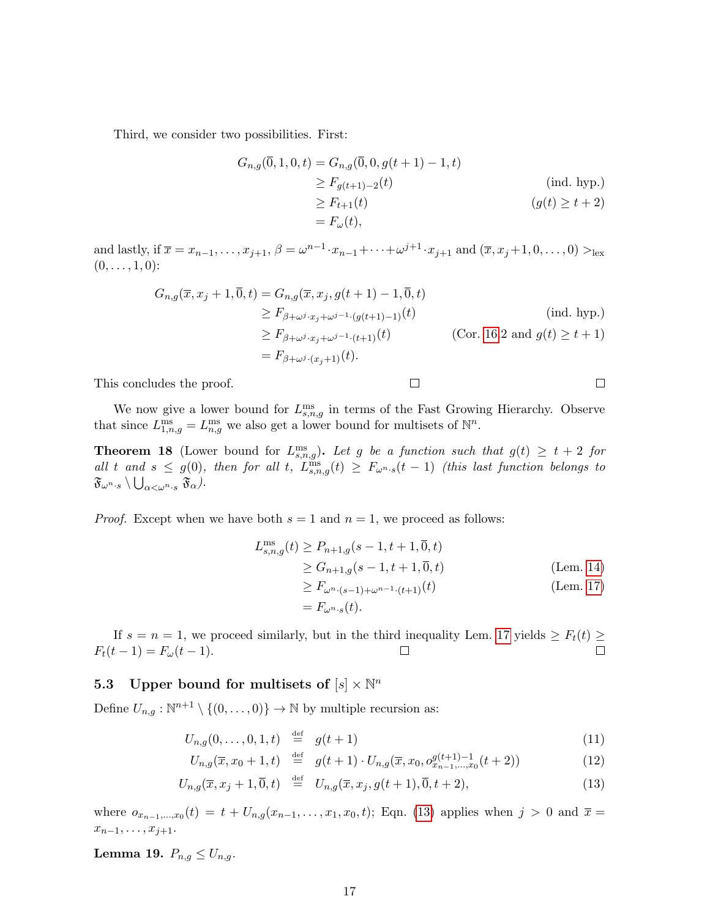Third, we consider two possibilities. First:

$$
G_{n,g}(\overline{0}, 1, 0, t) = G_{n,g}(\overline{0}, 0, g(t+1) - 1, t)
$$
  
\n
$$
\geq F_{g(t+1)-2}(t)
$$
 (ind. hyp.)  
\n
$$
\geq F_{t+1}(t)
$$
  
\n
$$
= F_{\omega}(t),
$$
 (if  $t + 2$ )

 $\Box$ 

and lastly, if  $\overline{x} = x_{n-1}, \ldots, x_{j+1}, \beta = \omega^{n-1} \cdot x_{n-1} + \cdots + \omega^{j+1} \cdot x_{j+1}$  and  $(\overline{x}, x_j + 1, 0, \ldots, 0) >_{\text{lex}}$  $(0, \ldots, 1, 0)$ :

$$
G_{n,g}(\overline{x}, x_j + 1, \overline{0}, t) = G_{n,g}(\overline{x}, x_j, g(t + 1) - 1, \overline{0}, t)
$$
  
\n
$$
\ge F_{\beta + \omega^j \cdot x_j + \omega^{j-1} \cdot (g(t+1) - 1)}(t)
$$
 (ind. hyp.)  
\n
$$
\ge F_{\beta + \omega^j \cdot x_j + \omega^{j-1} \cdot (t+1)}(t)
$$
 (Cor. 16.2 and  $g(t) \ge t + 1$ )  
\n
$$
= F_{\beta + \omega^j \cdot (x_j + 1)}(t).
$$

This concludes the proof.

$$
f_{\rm{max}}
$$

 $\Box$ 

We now give a lower bound for  $L_{s,n,g}^{\text{ms}}$  in terms of the Fast Growing Hierarchy. Observe that since  $L_{1,n,g}^{\text{ms}} = L_{n,g}^{\text{ms}}$  we also get a lower bound for multisets of  $\mathbb{N}^n$ .

<span id="page-16-0"></span>**Theorem 18** (Lower bound for  $L_{s,n,g}^{\text{ms}}$ ). Let g be a function such that  $g(t) \geq t+2$  for all t and  $s \leq g(0)$ , then for all t,  $L^{\text{ms}}_{s,n,g}(t) \geq F_{\omega^{n}s}(t-1)$  (this last function belongs to  $\mathfrak{F}_{\omega^{n} \cdot s} \setminus \bigcup_{\alpha < \omega^{n} \cdot s} \mathfrak{F}_{\alpha}$  ).

*Proof.* Except when we have both  $s = 1$  and  $n = 1$ , we proceed as follows:

$$
L_{s,n,g}^{\text{ms}}(t) \ge P_{n+1,g}(s-1, t+1, \overline{0}, t)
$$
  
\n
$$
\ge G_{n+1,g}(s-1, t+1, \overline{0}, t)
$$
  
\n
$$
\ge F_{\omega^{n} \cdot (s-1) + \omega^{n-1} \cdot (t+1)}(t)
$$
 (Lem. 17)

$$
= F_{\omega^n \cdot s}(t).
$$

If  $s = n = 1$ , we proceed similarly, but in the third inequality Lem. [17](#page-15-2) yields  $\geq F_t(t) \geq$  $F_t(t-1) = F_{\omega}(t-1).$  $\Box$  $\Box$ 

# <span id="page-16-2"></span>5.3 Upper bound for multisets of  $[s] \times \mathbb{N}^n$

Define  $U_{n,g}: \mathbb{N}^{n+1} \setminus \{(0,\ldots,0)\} \to \mathbb{N}$  by multiple recursion as:

<span id="page-16-1"></span>
$$
U_{n,g}(0,\ldots,0,1,t) \stackrel{\text{def}}{=} g(t+1) \tag{11}
$$

$$
U_{n,g}(\overline{x}, x_0 + 1, t) \stackrel{\text{def}}{=} g(t+1) \cdot U_{n,g}(\overline{x}, x_0, o_{x_{n-1},...,x_0}^{g(t+1)-1}(t+2)) \tag{12}
$$

$$
U_{n,g}(\overline{x}, x_j + 1, \overline{0}, t) \stackrel{\text{def}}{=} U_{n,g}(\overline{x}, x_j, g(t+1), \overline{0}, t+2), \tag{13}
$$

where  $o_{x_{n-1},...,x_0}(t) = t + U_{n,g}(x_{n-1},...,x_1,x_0,t)$ ; Eqn. [\(13\)](#page-16-1) applies when  $j > 0$  and  $\bar{x} =$  $x_{n-1}, \ldots, x_{j+1}.$ 

<span id="page-16-3"></span>Lemma 19.  $P_{n,q} \leq U_{n,q}$ .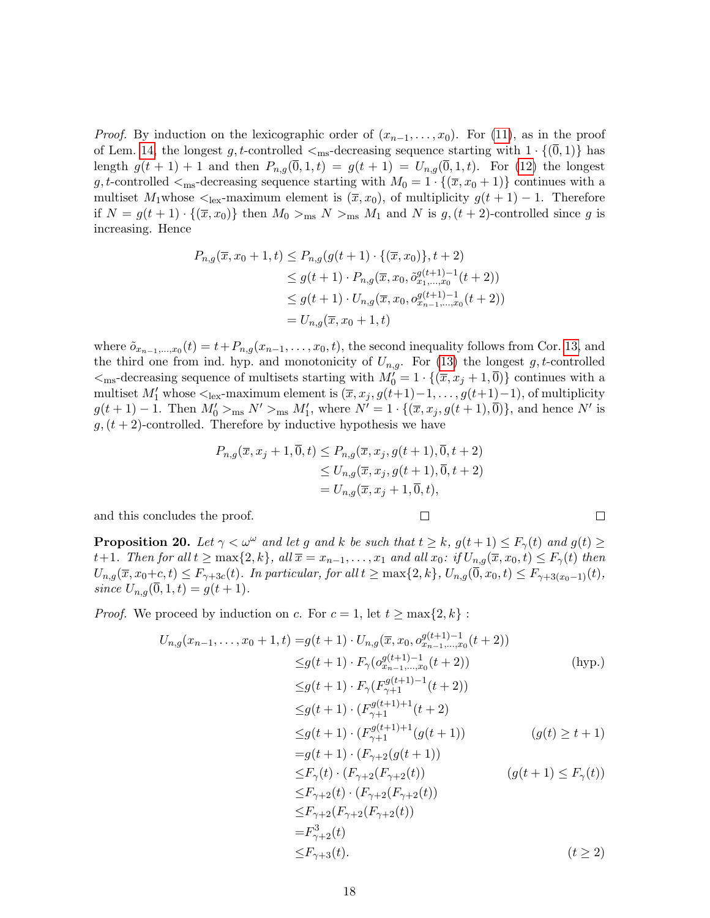*Proof.* By induction on the lexicographic order of  $(x_{n-1},...,x_0)$ . For [\(11\)](#page-16-1), as in the proof of Lem. [14,](#page-14-2) the longest g, t-controlled  $\leq_{\text{ms}}$ -decreasing sequence starting with  $1 \cdot \{(0,1)\}\)$  has length  $g(t + 1) + 1$  and then  $P_{n,q}(\overline{0}, 1, t) = g(t + 1) = U_{n,q}(\overline{0}, 1, t)$ . For [\(12\)](#page-16-1) the longest g, t-controlled  $\leq_{\text{ms}}$ -decreasing sequence starting with  $M_0 = 1 \cdot \{(\overline{x}, x_0 + 1)\}\)$  continues with a multiset M<sub>1</sub>whose  $\lt_{\text{lex}}$ -maximum element is  $(\bar{x}, x_0)$ , of multiplicity  $g(t + 1) - 1$ . Therefore if  $N = g(t+1) \cdot \{(\overline{x}, x_0)\}\$  then  $M_0 >_{\text{ms}} N >_{\text{ms}} M_1$  and N is  $g, (t+2)$ -controlled since g is increasing. Hence

$$
P_{n,g}(\overline{x}, x_0 + 1, t) \le P_{n,g}(g(t+1) \cdot \{(\overline{x}, x_0)\}, t+2)
$$
  
\n
$$
\le g(t+1) \cdot P_{n,g}(\overline{x}, x_0, \tilde{o}_{x_1, \ldots, x_0}^{g(t+1)-1}(t+2))
$$
  
\n
$$
\le g(t+1) \cdot U_{n,g}(\overline{x}, x_0, o_{x_{n-1}, \ldots, x_0}^{g(t+1)-1}(t+2))
$$
  
\n
$$
= U_{n,g}(\overline{x}, x_0 + 1, t)
$$

where  $\tilde{o}_{x_{n-1},...,x_0}(t) = t + P_{n,g}(x_{n-1},...,x_0,t)$ , the second inequality follows from Cor. [13,](#page-14-3) and the third one from ind. hyp. and monotonicity of  $U_{n,g}$ . For [\(13\)](#page-16-1) the longest g, t-controlled  $\langle \mathbf{r} \rangle = -\text{diag}(\mathbf{r} \cdot \mathbf{r})$  and  $\mathbf{r} \cdot \mathbf{r}$  and  $\mathbf{r} \cdot \mathbf{r}$  and  $\mathbf{r} \cdot \mathbf{r} \cdot \mathbf{r}$  and  $\mathbf{r} \cdot \mathbf{r} \cdot \mathbf{r} \cdot \mathbf{r}$  and  $\mathbf{r} \cdot \mathbf{r} \cdot \mathbf{r} \cdot \mathbf{r} \cdot \mathbf{r} \cdot \mathbf{r} \cdot \mathbf{r} \cdot \mathbf{r} \cdot \mathbf{r} \cdot \math$ multiset  $M'_1$  whose  $\leq_{\text{lex}}$ -maximum element is  $(\overline{x}, x_j, g(t+1)-1, \ldots, g(t+1)-1)$ , of multiplicity  $g(t+1)-1$ . Then  $M'_0>_{\text{ms}} N' >_{\text{ms}} M'_1$ , where  $N' = 1 \cdot \{(\overline{x}, x_j, g(t+1), \overline{0})\}$ , and hence N' is  $g(t + 2)$ -controlled. Therefore by inductive hypothesis we have

$$
P_{n,g}(\overline{x}, x_j + 1, \overline{0}, t) \le P_{n,g}(\overline{x}, x_j, g(t+1), \overline{0}, t+2)
$$
  
\n
$$
\le U_{n,g}(\overline{x}, x_j, g(t+1), \overline{0}, t+2)
$$
  
\n
$$
= U_{n,g}(\overline{x}, x_j + 1, \overline{0}, t),
$$

 $\Box$ 

 $\Box$ 

and this concludes the proof.

<span id="page-17-0"></span>**Proposition 20.** Let  $\gamma < \omega^{\omega}$  and let g and k be such that  $t \geq k$ ,  $g(t+1) \leq F_{\gamma}(t)$  and  $g(t) \geq$ t+1. Then for all  $t \ge \max\{2, k\}$ , all  $\overline{x} = x_{n-1}, \ldots, x_1$  and all  $x_0$ : if  $U_{n,q}(\overline{x}, x_0, t) \le F_\gamma(t)$  then  $U_{n,q}(\overline{x}, x_0+c, t) \leq F_{\gamma+3c}(t)$ . In particular, for all  $t \geq \max\{2, k\}$ ,  $U_{n,q}(\overline{0}, x_0, t) \leq F_{\gamma+3(x_0-1)}(t)$ , since  $U_{n,q}(\overline{0},1,t) = g(t+1)$ .

*Proof.* We proceed by induction on c. For  $c = 1$ , let  $t \ge \max\{2, k\}$ :

$$
U_{n,g}(x_{n-1},...,x_0+1,t) = g(t+1) \cdot U_{n,g}(\overline{x},x_0, o_{x_{n-1},...,x_0}^{g(t+1)-1}(t+2))
$$
  
\n
$$
\leq g(t+1) \cdot F_{\gamma}(o_{x_{n-1},...,x_0}^{g(t+1)-1}(t+2))
$$
 (hyp.)  
\n
$$
\leq g(t+1) \cdot F_{\gamma}(F_{\gamma+1}^{g(t+1)-1}(t+2))
$$
  
\n
$$
\leq g(t+1) \cdot (F_{\gamma+1}^{g(t+1)+1}(t+2))
$$
  
\n
$$
\leq g(t+1) \cdot (F_{\gamma+1}^{g(t+1)+1}(g(t+1))
$$
 (g(t)  $\geq t+1$ )  
\n
$$
= g(t+1) \cdot (F_{\gamma+2}(g(t+1))
$$
  
\n
$$
\leq F_{\gamma}(t) \cdot (F_{\gamma+2}(F_{\gamma+2}(t))
$$
 (g(t+1)  $\leq F_{\gamma}(t)$ )  
\n
$$
\leq F_{\gamma+2}(t) \cdot (F_{\gamma+2}(F_{\gamma+2}(t))
$$
  
\n
$$
= F_{\gamma+2}^{3}(t)
$$
  
\n
$$
\leq F_{\gamma+3}(t).
$$
 (t  $\geq 2$ )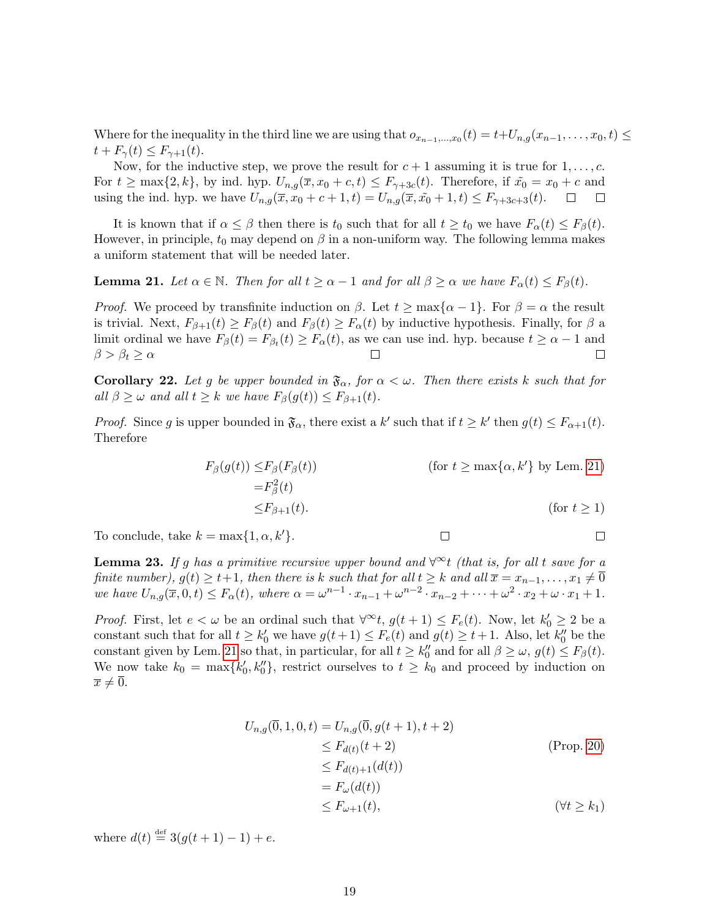Where for the inequality in the third line we are using that  $o_{x_{n-1},...,x_0}(t) = t+U_{n,g}(x_{n-1},...,x_0,t) \leq$  $t + F_{\gamma}(t) \leq F_{\gamma+1}(t).$ 

Now, for the inductive step, we prove the result for  $c + 1$  assuming it is true for  $1, \ldots, c$ . For  $t \ge \max\{2, k\}$ , by ind. hyp.  $U_{n,g}(\overline{x}, x_0 + c, t) \le F_{\gamma+3c}(t)$ . Therefore, if  $\tilde{x_0} = x_0 + c$  and using the ind. hyp. we have  $U_{n,q}(\bar{x}, x_0 + c + 1, t) = U_{n,q}(\bar{x}, \tilde{x_0} + 1, t) \leq F_{\gamma+3c+3}(t)$ .  $\Box$  $\Box$ 

It is known that if  $\alpha \leq \beta$  then there is  $t_0$  such that for all  $t \geq t_0$  we have  $F_\alpha(t) \leq F_\beta(t)$ . However, in principle,  $t_0$  may depend on  $\beta$  in a non-uniform way. The following lemma makes a uniform statement that will be needed later.

<span id="page-18-0"></span>**Lemma 21.** Let  $\alpha \in \mathbb{N}$ . Then for all  $t \geq \alpha - 1$  and for all  $\beta \geq \alpha$  we have  $F_{\alpha}(t) \leq F_{\beta}(t)$ .

*Proof.* We proceed by transfinite induction on  $\beta$ . Let  $t \ge \max{\alpha - 1}$ . For  $\beta = \alpha$  the result is trivial. Next,  $F_{\beta+1}(t) \geq F_{\beta}(t)$  and  $F_{\beta}(t) \geq F_{\alpha}(t)$  by inductive hypothesis. Finally, for  $\beta$  a limit ordinal we have  $F_{\beta}(t) = F_{\beta_t}(t) \geq F_{\alpha}(t)$ , as we can use ind. hyp. because  $t \geq \alpha - 1$  and  $\beta > \beta_t \geq \alpha$  $\Box$ 

<span id="page-18-1"></span>Corollary 22. Let g be upper bounded in  $\mathfrak{F}_{\alpha}$ , for  $\alpha < \omega$ . Then there exists k such that for all  $\beta \geq \omega$  and all  $t \geq k$  we have  $F_{\beta}(g(t)) \leq F_{\beta+1}(t)$ .

*Proof.* Since g is upper bounded in  $\mathfrak{F}_{\alpha}$ , there exist a k' such that if  $t \geq k'$  then  $g(t) \leq F_{\alpha+1}(t)$ . Therefore

$$
F_{\beta}(g(t)) \le F_{\beta}(F_{\beta}(t))
$$
  
\n
$$
= F_{\beta}^{2}(t)
$$
  
\n
$$
\le F_{\beta+1}(t).
$$
  
\n(for  $t \ge \max\{\alpha, k'\}$  by Lem. 21)  
\n(for  $t \ge 1$ )

 $\Box$ 

To conclude, take  $k = \max\{1, \alpha, k'\}.$ 

$$
\mathcal{L}^{\mathcal{L}}(\mathcal{L}^{\mathcal{L}}(\mathcal{L}^{\mathcal{L}}(\mathcal{L}^{\mathcal{L}}(\mathcal{L}^{\mathcal{L}}(\mathcal{L}^{\mathcal{L}}(\mathcal{L}^{\mathcal{L}}(\mathcal{L}^{\mathcal{L}}(\mathcal{L}^{\mathcal{L}}(\mathcal{L}^{\mathcal{L}}(\mathcal{L}^{\mathcal{L}}(\mathcal{L}^{\mathcal{L}}(\mathcal{L}^{\mathcal{L}}(\mathcal{L}^{\mathcal{L}}(\mathcal{L}^{\mathcal{L}}(\mathcal{L}^{\mathcal{L}}(\mathcal{L}^{\mathcal{L}}(\mathcal{L}^{\mathcal{L}}(\mathcal{L}^{\mathcal{L}}(\mathcal{L}^{\mathcal{L}}(\mathcal{L}^{\mathcal{L}}(\mathcal{L}^{\mathcal{L}}(\mathcal{L}^{\mathcal{L}}(\mathcal{L}^{\mathcal{L}}(\mathcal{L}^{\mathcal{L}}(\mathcal{L}^{\mathcal{L}}(\mathcal{L}^{\mathcal{L}}(\mathcal{L}^{\mathcal{L}}(\mathcal{L}^{\mathcal{L}}(\mathcal{L}^{\mathcal{L}}(\mathcal{L}^{\mathcal{L}}(\mathcal{L}^{\mathcal{L}}(\mathcal{L}^{\mathcal{L}}(\mathcal{L}^{\mathcal{L}}(\mathcal{L}^{\mathcal{L}}(\mathcal{L}^{\mathcal{L}}(\mathcal{L}^{\mathcal{L}}(\mathcal{L}^{\mathcal{L}}(\mathcal{L}^{\mathcal{L}}(\mathcal{L}^{\mathcal{L}}(\mathcal{L}^{\mathcal{L}}(\mathcal{L}^{\mathcal{L}}(\mathcal{L}^{\mathcal{L}}(\mathcal{L}^{\mathcal{L}}(\mathcal{L}^{\mathcal{L}}(\mathcal{L}^{\mathcal{L}}(\mathcal{L}^{\mathcal{L}}(\mathcal{L}^{\mathcal{L}}(\mathcal{L}^{\mathcal{L}}(\mathcal{L}^{\mathcal{L}}(\mathcal{L}^{\mathcal{L}}(\mathcal{L}^{\mathcal{L}}(\mathcal{L}^{\mathcal{L}}(\mathcal{L}^{\mathcal{L}}(\mathcal{L}^{\mathcal{L}}(\mathcal{L}^{\mathcal{L}}(\mathcal{L}^{\mathcal{L}}(\mathcal{L}^{\mathcal{L}}(\mathcal{L}
$$

<span id="page-18-2"></span>**Lemma 23.** If g has a primitive recursive upper bound and  $\forall^{\infty}t$  (that is, for all t save for a finite number),  $g(t)\geq t+1,$  then there is  $k$  such that for all  $t\geq k$  and all  $\overline{x}=x_{n-1},\ldots,x_1\neq \overline{0}$ we have  $U_{n,g}(\overline{x}, 0, t) \le F_\alpha(t)$ , where  $\alpha = \omega^{n-1} \cdot x_{n-1} + \omega^{n-2} \cdot x_{n-2} + \cdots + \omega^2 \cdot x_2 + \omega \cdot x_1 + 1$ .

*Proof.* First, let  $e < \omega$  be an ordinal such that  $\forall^{\infty}t$ ,  $g(t+1) \leq F_e(t)$ . Now, let  $k'_0 \geq 2$  be a constant such that for all  $t \geq k'_0$  we have  $g(t+1) \leq F_e(t)$  and  $g(t) \geq t+1$ . Also, let  $k''_0$  be the constant given by Lem. [21](#page-18-0) so that, in particular, for all  $t \geq k_0''$  and for all  $\beta \geq \omega$ ,  $g(t) \leq F_\beta(t)$ . We now take  $k_0 = \max\{k'_0, k''_0\}$ , restrict ourselves to  $t \geq k_0$  and proceed by induction on  $\overline{x} \neq \overline{0}$ .

$$
U_{n,g}(\overline{0}, 1, 0, t) = U_{n,g}(\overline{0}, g(t+1), t+2)
$$
  
\n
$$
\leq F_{d(t)}(t+2)
$$
 (Prop. 20)  
\n
$$
\leq F_{d(t)+1}(d(t))
$$
  
\n
$$
= F_{\omega}(d(t))
$$
  
\n
$$
\leq F_{\omega+1}(t), \qquad (\forall t \geq k_1)
$$

where  $d(t) \stackrel{\text{def}}{=} 3(g(t+1)-1) + e$ .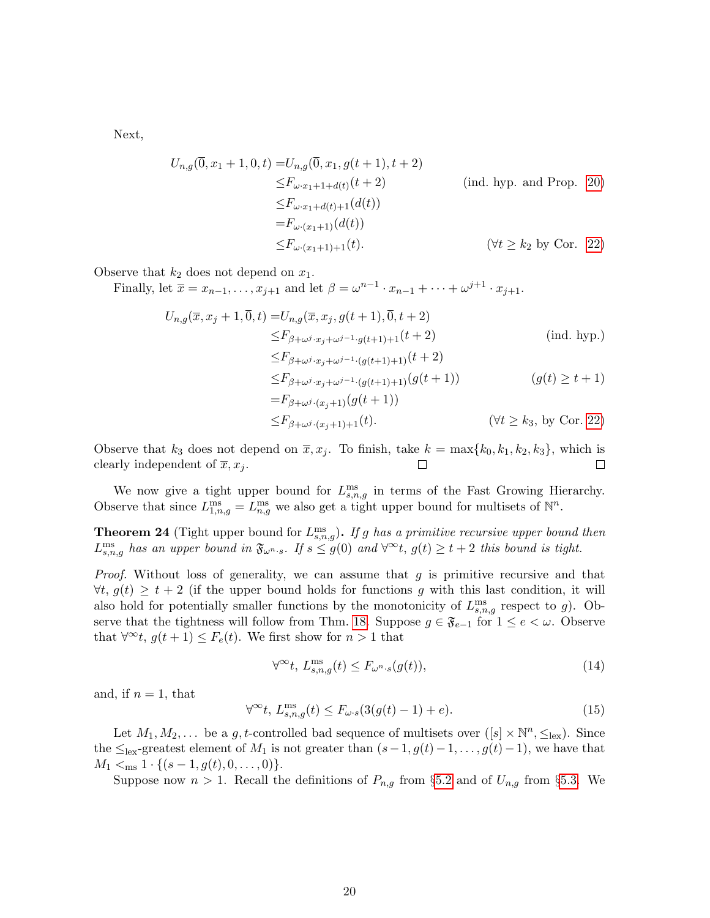Next,

$$
U_{n,g}(\overline{0}, x_1 + 1, 0, t) = U_{n,g}(\overline{0}, x_1, g(t+1), t+2)
$$
  
\n
$$
\leq F_{\omega \cdot x_1 + 1 + d(t)}(t+2)
$$
 (ind. hyp. and Prop. 20)  
\n
$$
\leq F_{\omega \cdot x_1 + d(t)+1}(d(t))
$$
  
\n
$$
= F_{\omega \cdot (x_1 + 1)}(d(t))
$$
  
\n
$$
\leq F_{\omega \cdot (x_1 + 1) + 1}(t).
$$
 (forall  $\geq k_2$  by Cor. 22)

Observe that  $k_2$  does not depend on  $x_1$ .

Finally, let  $\overline{x} = x_{n-1}, \ldots, x_{j+1}$  and let  $\beta = \omega^{n-1} \cdot x_{n-1} + \cdots + \omega^{j+1} \cdot x_{j+1}$ .

$$
U_{n,g}(\overline{x}, x_j + 1, \overline{0}, t) = U_{n,g}(\overline{x}, x_j, g(t + 1), \overline{0}, t + 2)
$$
  
\n
$$
\leq F_{\beta + \omega^j \cdot x_j + \omega^{j-1} \cdot g(t + 1) + 1}(t + 2)
$$
 (ind. hyp.)  
\n
$$
\leq F_{\beta + \omega^j \cdot x_j + \omega^{j-1} \cdot (g(t + 1) + 1)}(t + 2)
$$
  
\n
$$
\leq F_{\beta + \omega^j \cdot x_j + \omega^{j-1} \cdot (g(t + 1) + 1)}(g(t + 1))
$$
  
\n
$$
= F_{\beta + \omega^j \cdot (x_j + 1)}(g(t + 1))
$$
  
\n
$$
\leq F_{\beta + \omega^j \cdot (x_j + 1) + 1}(t).
$$
 (forall  $\geq k_3$ , by Cor. 22)

Observe that  $k_3$  does not depend on  $\overline{x}, x_j$ . To finish, take  $k = \max\{k_0, k_1, k_2, k_3\}$ , which is clearly independent of  $\overline{x}, x_i$ .  $\Box$  $\Box$ 

We now give a tight upper bound for  $L_{s,n,g}^{\text{ms}}$  in terms of the Fast Growing Hierarchy. Observe that since  $L_{1,n,g}^{\text{ms}} = L_{n,g}^{\text{ms}}$  we also get a tight upper bound for multisets of  $\mathbb{N}^n$ .

<span id="page-19-0"></span>**Theorem 24** (Tight upper bound for  $L_{s,n,g}^{\text{ms}}$ ). If g has a primitive recursive upper bound then  $L_{s,n,g}^{\text{ms}}$  has an upper bound in  $\mathfrak{F}_{\omega^{n}\cdot s}$ . If  $s \leq g(0)$  and  $\forall^{\infty}t, g(t) \geq t+2$  this bound is tight.

*Proof.* Without loss of generality, we can assume that  $q$  is primitive recursive and that  $\forall t, g(t) \geq t + 2$  (if the upper bound holds for functions g with this last condition, it will also hold for potentially smaller functions by the monotonicity of  $L_{s,n,g}^{\text{ms}}$  respect to g). Ob-serve that the tightness will follow from Thm. [18.](#page-16-0) Suppose  $g \in \mathfrak{F}_{e-1}$  for  $1 \leq e \leq \omega$ . Observe that  $\forall^{\infty}t, g(t+1) \leq F_e(t)$ . We first show for  $n > 1$  that

<span id="page-19-1"></span>
$$
\forall^{\infty}t, L_{s,n,g}^{\text{ms}}(t) \le F_{\omega^{n} \cdot s}(g(t)),\tag{14}
$$

and, if  $n = 1$ , that

<span id="page-19-2"></span>
$$
\forall^{\infty}t, L_{s,n,g}^{\text{ms}}(t) \le F_{\omega \cdot s}(3(g(t)-1)+e). \tag{15}
$$

Let  $M_1, M_2, \ldots$  be a g, t-controlled bad sequence of multisets over  $([s] \times \mathbb{N}^n, \leq_{\text{lex}})$ . Since the  $\leq_{\text{lex}}$ -greatest element of  $M_1$  is not greater than  $(s-1, g(t)-1, \ldots, g(t)-1)$ , we have that  $M_1 \leq_{\text{ms}} 1 \cdot \{(s-1, g(t), 0, \ldots, 0)\}.$ 

Suppose now  $n > 1$ . Recall the definitions of  $P_{n,g}$  from §[5.2](#page-14-4) and of  $U_{n,g}$  from §[5.3.](#page-16-2) We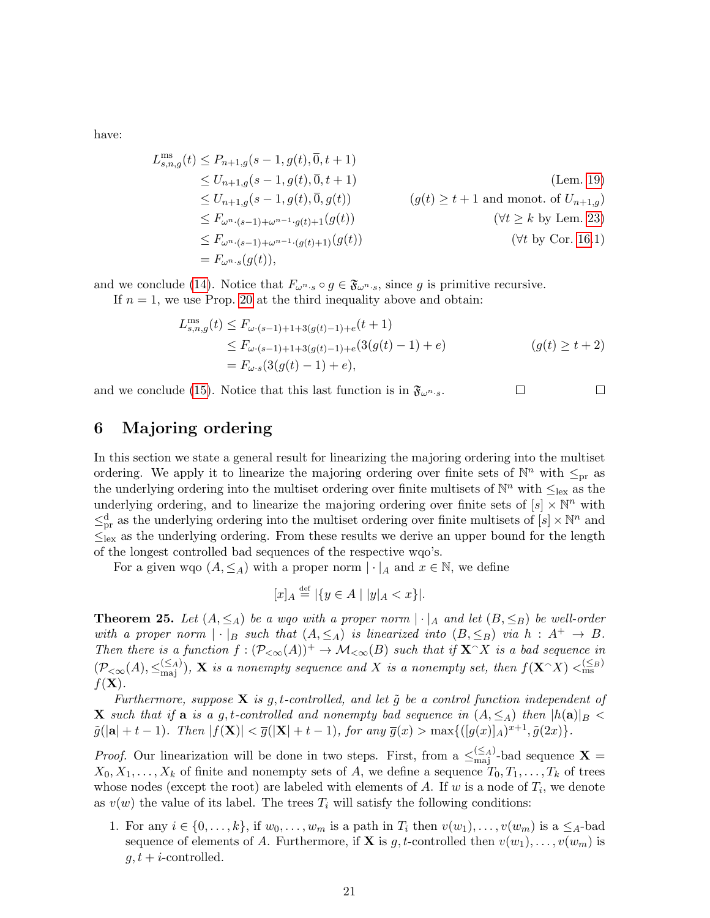have:

$$
L_{s,n,g}^{\text{ms}}(t) \leq P_{n+1,g}(s-1,g(t),\overline{0},t+1)
$$
  
\n
$$
\leq U_{n+1,g}(s-1,g(t),\overline{0},t+1)
$$
  
\n
$$
\leq U_{n+1,g}(s-1,g(t),\overline{0},g(t))
$$
  
\n
$$
\leq F_{\omega^{n} \cdot (s-1)+\omega^{n-1} \cdot g(t)+1}(g(t))
$$
  
\n
$$
\leq F_{\omega^{n} \cdot (s-1)+\omega^{n-1} \cdot (g(t)+1)}(g(t))
$$
  
\n
$$
\leq F_{\omega^{n} \cdot (s-1)+\omega^{n-1} \cdot (g(t)+1)}(g(t))
$$
  
\n
$$
= F_{\omega^{n} \cdot s}(g(t)),
$$
\n(7*t* by Cor. 16.1)

and we conclude [\(14\)](#page-19-1). Notice that  $F_{\omega^{n} \cdot s} \circ g \in \mathfrak{F}_{\omega^{n} \cdot s}$ , since g is primitive recursive. If  $n = 1$ , we use Prop. [20](#page-17-0) at the third inequality above and obtain:

$$
L_{s,n,g}^{\text{ms}}(t) \le F_{\omega\cdot(s-1)+1+3(g(t)-1)+e}(t+1)
$$
  
\n
$$
\le F_{\omega\cdot(s-1)+1+3(g(t)-1)+e}(3(g(t)-1)+e)
$$
  
\n
$$
= F_{\omega\cdot s}(3(g(t)-1)+e), \qquad (g(t) \ge t+2)
$$

 $\Box$ 

and we conclude [\(15\)](#page-19-2). Notice that this last function is in  $\mathfrak{F}_{\omega^n,s}$ .  $\Box$ 

# <span id="page-20-0"></span>6 Majoring ordering

In this section we state a general result for linearizing the majoring ordering into the multiset ordering. We apply it to linearize the majoring ordering over finite sets of  $\mathbb{N}^n$  with  $\leq_{\text{pr}}$  as the underlying ordering into the multiset ordering over finite multisets of  $\mathbb{N}^n$  with  $\leq_{\text{lex}}$  as the underlying ordering, and to linearize the majoring ordering over finite sets of  $[s] \times \mathbb{N}^n$  with  $\leq_{\text{pr}}^{\text{d}}$  as the underlying ordering into the multiset ordering over finite multisets of  $[s] \times \mathbb{N}^n$  and  $\leq_{\text{lex}}$  as the underlying ordering. From these results we derive an upper bound for the length of the longest controlled bad sequences of the respective wqo's.

For a given wqo  $(A, \leq_A)$  with a proper norm  $|\cdot|_A$  and  $x \in \mathbb{N}$ , we define

$$
[x]_A \stackrel{\text{def}}{=} |\{ y \in A \mid |y|_A < x \}|.
$$

<span id="page-20-1"></span>**Theorem 25.** Let  $(A, \leq_A)$  be a wgo with a proper norm  $|\cdot|_A$  and let  $(B, \leq_B)$  be well-order with a proper norm  $|\cdot|_B$  such that  $(A, \leq_A)$  is linearized into  $(B, \leq_B)$  via  $h : A^+ \to B$ . Then there is a function  $f : (\mathcal{P}_{< \infty}(A))^+ \to \mathcal{M}_{< \infty}(B)$  such that if  $\mathbf{X}^{\sim} X$  is a bad sequence in  $(\mathcal{P}_{< \infty}(A), \leq_{\text{maj}}^{(\leq A)}), \mathbf{X}$  is a nonempty sequence and X is a nonempty set, then  $f(\mathbf{X}^{\frown} X) <_{\text{ms}}^{(\leq B)}$  $f(\mathbf{X})$ .

Furthermore, suppose **X** is g, t-controlled, and let  $\tilde{g}$  be a control function independent of **X** such that if a is a g, t-controlled and nonempty bad sequence in  $(A, \leq_A)$  then  $|h(a)|_B$  $\tilde{g}(|\mathbf{a}| + t - 1)$ . Then  $|f(\mathbf{X})| < \overline{g}(|\mathbf{X}| + t - 1)$ , for any  $\overline{g}(x) > \max\{([g(x)]_A)^{x+1}, \tilde{g}(2x)\}.$ 

*Proof.* Our linearization will be done in two steps. First, from a  $\leq_{\text{maj}}^{(\leq A)}$ -bad sequence **X** =  $X_0, X_1, \ldots, X_k$  of finite and nonempty sets of A, we define a sequence  $T_0, T_1, \ldots, T_k$  of trees whose nodes (except the root) are labeled with elements of  $A$ . If  $w$  is a node of  $T_i$ , we denote as  $v(w)$  the value of its label. The trees  $T_i$  will satisfy the following conditions:

1. For any  $i \in \{0, \ldots, k\}$ , if  $w_0, \ldots, w_m$  is a path in  $T_i$  then  $v(w_1), \ldots, v(w_m)$  is a  $\leq_A$ -bad sequence of elements of A. Furthermore, if **X** is g, t-controlled then  $v(w_1), \ldots, v(w_m)$  is  $g, t + i$ -controlled.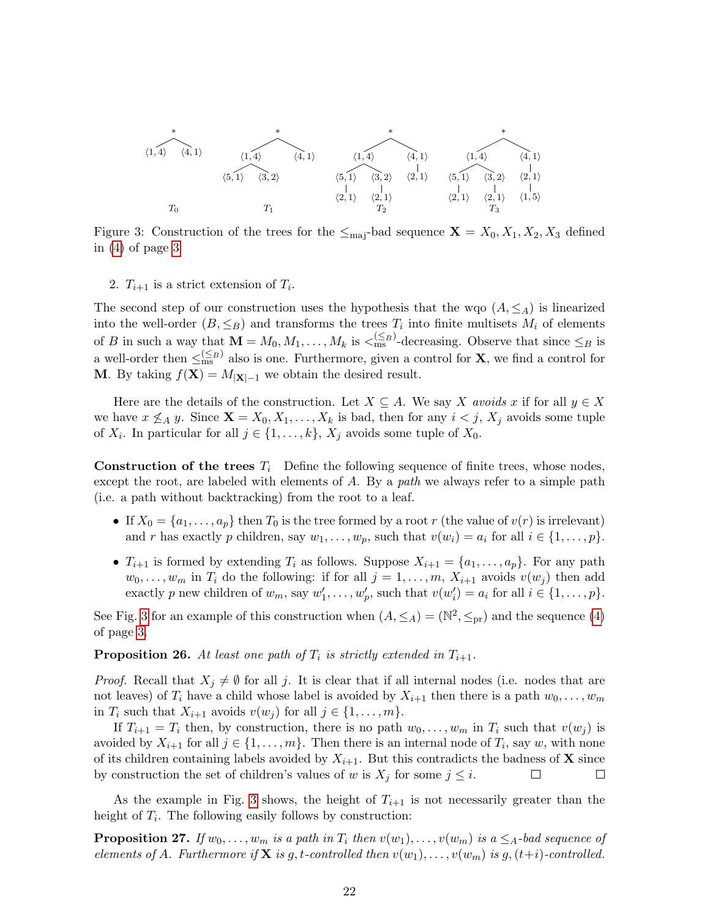

<span id="page-21-0"></span>Figure 3: Construction of the trees for the  $\leq_{\text{maj}}$ -bad sequence  $\mathbf{X} = X_0, X_1, X_2, X_3$  defined in [\(4\)](#page-2-0) of page [3](#page-2-0)

2.  $T_{i+1}$  is a strict extension of  $T_i$ .

The second step of our construction uses the hypothesis that the wqo  $(A, \leq_A)$  is linearized into the well-order  $(B, \leq_B)$  and transforms the trees  $T_i$  into finite multisets  $M_i$  of elements of B in such a way that  $\mathbf{M} = M_0, M_1, \ldots, M_k$  is  $\leq^{\leq B}_{\text{ms}}$ -decreasing. Observe that since  $\leq_B$  is a well-order then  $\leq_{\text{ms}}^{(\leq_B)}$  also is one. Furthermore, given a control for **X**, we find a control for **M**. By taking  $f(\mathbf{X}) = M_{|\mathbf{X}|-1}$  we obtain the desired result.

Here are the details of the construction. Let  $X \subseteq A$ . We say X avoids x if for all  $y \in X$ we have  $x \nleq_A y$ . Since  $\mathbf{X} = X_0, X_1, \ldots, X_k$  is bad, then for any  $i < j$ ,  $X_j$  avoids some tuple of  $X_i$ . In particular for all  $j \in \{1, ..., k\}$ ,  $X_j$  avoids some tuple of  $X_0$ .

**Construction of the trees**  $T_i$  Define the following sequence of finite trees, whose nodes, except the root, are labeled with elements of  $A$ . By a path we always refer to a simple path (i.e. a path without backtracking) from the root to a leaf.

- If  $X_0 = \{a_1, \ldots, a_p\}$  then  $T_0$  is the tree formed by a root r (the value of  $v(r)$  is irrelevant) and r has exactly p children, say  $w_1, \ldots, w_p$ , such that  $v(w_i) = a_i$  for all  $i \in \{1, \ldots, p\}$ .
- $T_{i+1}$  is formed by extending  $T_i$  as follows. Suppose  $X_{i+1} = \{a_1, \ldots, a_p\}$ . For any path  $w_0, \ldots, w_m$  in  $T_i$  do the following: if for all  $j = 1, \ldots, m$ ,  $X_{i+1}$  avoids  $v(w_j)$  then add exactly p new children of  $w_m$ , say  $w'_1, \ldots, w'_p$ , such that  $v(w'_i) = a_i$  for all  $i \in \{1, \ldots, p\}$ .

See Fig. [3](#page-21-0) for an example of this construction when  $(A, \leq_A) = (\mathbb{N}^2, \leq_{\text{pr}})$  and the sequence [\(4\)](#page-2-0) of page [3.](#page-2-0)

<span id="page-21-1"></span>**Proposition 26.** At least one path of  $T_i$  is strictly extended in  $T_{i+1}$ .

*Proof.* Recall that  $X_i \neq \emptyset$  for all j. It is clear that if all internal nodes (i.e. nodes that are not leaves) of  $T_i$  have a child whose label is avoided by  $X_{i+1}$  then there is a path  $w_0, \ldots, w_m$ in  $T_i$  such that  $X_{i+1}$  avoids  $v(w_j)$  for all  $j \in \{1, \ldots, m\}.$ 

If  $T_{i+1} = T_i$  then, by construction, there is no path  $w_0, \ldots, w_m$  in  $T_i$  such that  $v(w_j)$  is avoided by  $X_{i+1}$  for all  $j \in \{1, \ldots, m\}$ . Then there is an internal node of  $T_i$ , say w, with none of its children containing labels avoided by  $X_{i+1}$ . But this contradicts the badness of **X** since by construction the set of children's values of w is  $X_j$  for some  $j \leq i$ .  $\Box$  $\Box$ 

As the example in Fig. [3](#page-21-0) shows, the height of  $T_{i+1}$  is not necessarily greater than the height of  $T_i$ . The following easily follows by construction:

<span id="page-21-2"></span>**Proposition 27.** If  $w_0, \ldots, w_m$  is a path in  $T_i$  then  $v(w_1), \ldots, v(w_m)$  is a  $\leq_A$ -bad sequence of elements of A. Furthermore if **X** is g, t-controlled then  $v(w_1), \ldots, v(w_m)$  is g,  $(t+i)$ -controlled.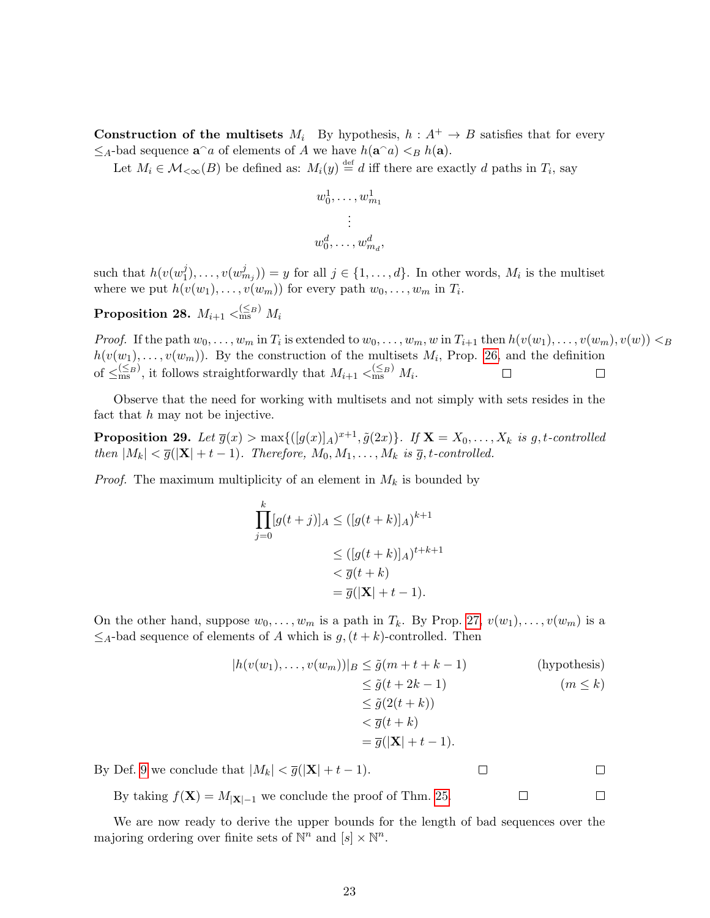**Construction of the multisets**  $M_i$  By hypothesis,  $h : A^+ \rightarrow B$  satisfies that for every  $\leq_A$ -bad sequence  $\mathbf{a}^\cap a$  of elements of A we have  $h(\mathbf{a}^\cap a) <_B h(\mathbf{a})$ .

Let  $M_i \in \mathcal{M}_{\leq \infty}(B)$  be defined as:  $M_i(y) \stackrel{\text{def}}{=} d$  iff there are exactly d paths in  $T_i$ , say

$$
w_0^1, \ldots, w_{m_1}^1
$$

$$
\vdots
$$

$$
w_0^d, \ldots, w_{m_d}^d,
$$

such that  $h(v(w_1^j$  $j(1), \ldots, v(w_{m_j}^j)) = y$  for all  $j \in \{1, \ldots, d\}$ . In other words,  $M_i$  is the multiset where we put  $h(v(w_1), \ldots, v(w_m))$  for every path  $w_0, \ldots, w_m$  in  $T_i$ .

 $\textbf{Proposition 28.} \ \ M_{i+1} <_{\text{ms}}^{(\leq B)} \ M_{i}$ 

*Proof.* If the path  $w_0, \ldots, w_m$  in  $T_i$  is extended to  $w_0, \ldots, w_m, w$  in  $T_{i+1}$  then  $h(v(w_1), \ldots, v(w_m), v(w)) < B$  $h(v(w_1), \ldots, v(w_m))$ . By the construction of the multisets  $M_i$ , Prop. [26,](#page-21-1) and the definition of  $\leq_{\text{ms}}^{(\leq B)}$ , it follows straightforwardly that  $M_{i+1} <_{\text{ms}}^{(\leq B)} M_i$ .  $\Box$  $\Box$ 

Observe that the need for working with multisets and not simply with sets resides in the fact that h may not be injective.

**Proposition 29.** Let  $\overline{g}(x) > \max\{([g(x)]_A)^{x+1}, \tilde{g}(2x)\}$ . If  $\mathbf{X} = X_0, \ldots, X_k$  is g, t-controlled then  $|M_k| < \overline{g}(|\mathbf{X}| + t - 1)$ . Therefore,  $M_0, M_1, \ldots, M_k$  is  $\overline{g}, t$ -controlled.

*Proof.* The maximum multiplicity of an element in  $M_k$  is bounded by

$$
\prod_{j=0}^{k} [g(t+j)]_A \leq ([g(t+k)]_A)^{k+1}
$$
  
\n
$$
\leq ([g(t+k)]_A)^{t+k+1}
$$
  
\n
$$
< \overline{g}(t+k)
$$
  
\n
$$
= \overline{g}(|\mathbf{X}| + t - 1).
$$

On the other hand, suppose  $w_0, \ldots, w_m$  is a path in  $T_k$ . By Prop. [27,](#page-21-2)  $v(w_1), \ldots, v(w_m)$  is a  $\leq_A$ -bad sequence of elements of A which is  $g, (t + k)$ -controlled. Then

$$
|h(v(w_1),...,v(w_m))|_B \leq \tilde{g}(m+t+k-1)
$$
 (hypothesis)  
\n
$$
\leq \tilde{g}(t+2k-1)
$$
 (m \leq k)  
\n
$$
\leq \tilde{g}(2(t+k))
$$
  
\n
$$
< \overline{g}(t+k)
$$
  
\n
$$
= \overline{g}(|\mathbf{X}|+t-1).
$$

By Def. [9](#page-12-2) we conclude that  $|M_k| < \overline{g}(|\mathbf{X}| + t - 1)$ .  $\Box$ 

By taking  $f(\mathbf{X}) = M_{|\mathbf{X}|-1}$  we conclude the proof of Thm. [25.](#page-20-1)

We are now ready to derive the upper bounds for the length of bad sequences over the majoring ordering over finite sets of  $\mathbb{N}^n$  and  $[s] \times \mathbb{N}^n$ .

 $\Box$ 

 $\Box$ 

 $\Box$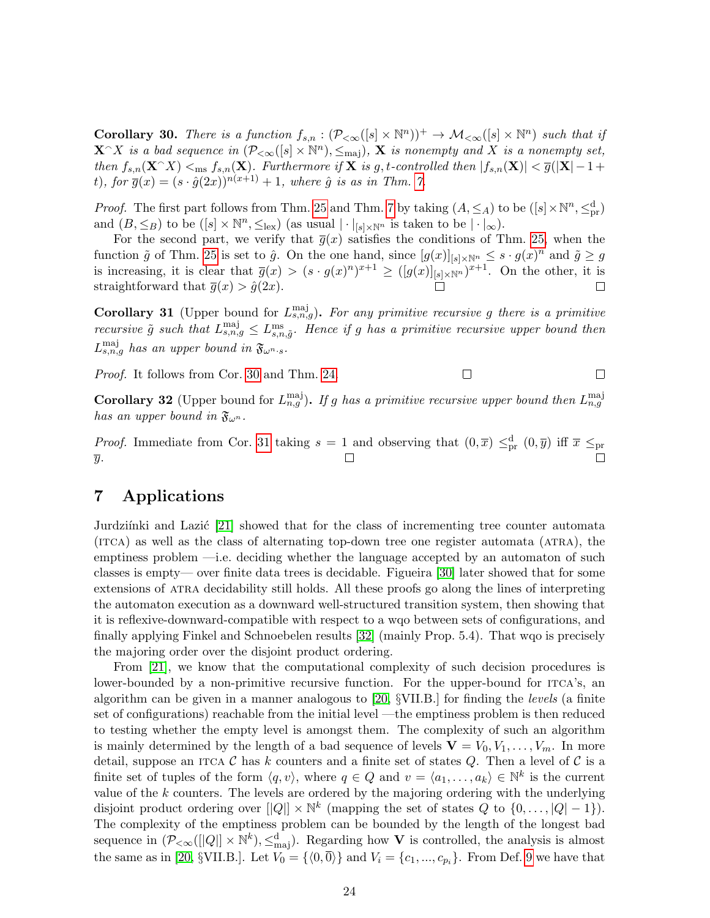<span id="page-23-2"></span>**Corollary 30.** There is a function  $f_{s,n} : (\mathcal{P}_{\leq \infty}([s] \times \mathbb{N}^n))^{+} \to \mathcal{M}_{\leq \infty}([s] \times \mathbb{N}^n)$  such that if  $\mathbf{X} \cap X$  is a bad sequence in  $(\mathcal{P}_{< \infty}([s] \times \mathbb{N}^n), \leq_{\text{maj}}), \mathbf{X}$  is nonempty and X is a nonempty set, then  $f_{s,n}(\mathbf{X} \cap X) <_{\text{ms}} f_{s,n}(\mathbf{X})$ . Furthermore if  $\mathbf{X}$  is g, t-controlled then  $|f_{s,n}(\mathbf{X})| < \overline{g}(|\mathbf{X}| - 1 +$ t), for  $\overline{g}(x) = (s \cdot \hat{g}(2x))^{n(x+1)} + 1$ , where  $\hat{g}$  is as in Thm. [7.](#page-10-0)

*Proof.* The first part follows from Thm. [25](#page-20-1) and Thm. [7](#page-10-0) by taking  $(A, \leq_A)$  to be  $([s] \times \mathbb{N}^n, \leq^d_{pr})$ and  $(B, \leq_B)$  to be  $([s] \times \mathbb{N}^n, \leq_{\text{lex}})$  (as usual  $| \cdot |_{[s] \times \mathbb{N}^n}$  is taken to be  $| \cdot |_{\infty}$ ).

For the second part, we verify that  $\bar{g}(x)$  satisfies the conditions of Thm. [25,](#page-20-1) when the function  $\tilde{g}$  of Thm. [25](#page-20-1) is set to  $\hat{g}$ . On the one hand, since  $[g(x)]_{[s] \times \mathbb{N}^n} \leq s \cdot g(x)^n$  and  $\tilde{g} \geq g$ is increasing, it is clear that  $\bar{g}(x) > (s \cdot g(x)^n)^{x+1} \geq ([g(x)]_{[s] \times \mathbb{N}^n})^{x+1}$ . On the other, it is straightforward that  $\overline{g}(x) > \hat{g}(2x)$ .

<span id="page-23-0"></span>**Corollary 31** (Upper bound for  $L_{s,n,g}^{\text{maj}}$ ). For any primitive recursive g there is a primitive recursive  $\tilde{g}$  such that  $L_{s,n,g}^{\text{maj}} \leq L_{s,n,\tilde{g}}^{\text{ms}}$ . Hence if g has a primitive recursive upper bound then  $L_{s,n,g}^{\text{maj}}$  has an upper bound in  $\mathfrak{F}_{\omega^{n}.s}.$ 

Proof. It follows from Cor. [30](#page-23-2) and Thm. [24.](#page-19-0)  $\Box$ 

**Corollary 32** (Upper bound for  $L_{n,g}^{\text{maj}}$ ). If g has a primitive recursive upper bound then  $L_{n,g}^{\text{maj}}$ has an upper bound in  $\mathfrak{F}_{\omega^n}$ .

 $\Box$ 

*Proof.* Immediate from Cor. [31](#page-23-0) taking  $s = 1$  and observing that  $(0, \bar{x}) \leq_{pr}^d (0, \bar{y})$  iff  $\bar{x} \leq_{pr}$  $\overline{y}$ . П

# <span id="page-23-1"></span>7 Applications

Jurdziínki and Lazić [\[21\]](#page-26-9) showed that for the class of incrementing tree counter automata (itca) as well as the class of alternating top-down tree one register automata (atra), the emptiness problem —i.e. deciding whether the language accepted by an automaton of such classes is empty— over finite data trees is decidable. Figueira [\[30\]](#page-27-2) later showed that for some extensions of atra decidability still holds. All these proofs go along the lines of interpreting the automaton execution as a downward well-structured transition system, then showing that it is reflexive-downward-compatible with respect to a wqo between sets of configurations, and finally applying Finkel and Schnoebelen results [\[32\]](#page-27-4) (mainly Prop. 5.4). That wqo is precisely the majoring order over the disjoint product ordering.

From [\[21\]](#page-26-9), we know that the computational complexity of such decision procedures is lower-bounded by a non-primitive recursive function. For the upper-bound for ITCA's, an algorithm can be given in a manner analogous to  $[20, \frac{8}{18}$  $[20, \frac{8}{18}$  SUII.B. for finding the *levels* (a finite set of configurations) reachable from the initial level —the emptiness problem is then reduced to testing whether the empty level is amongst them. The complexity of such an algorithm is mainly determined by the length of a bad sequence of levels  $\mathbf{V} = V_0, V_1, \ldots, V_m$ . In more detail, suppose an ITCA  $\mathcal C$  has k counters and a finite set of states  $Q$ . Then a level of  $\mathcal C$  is a finite set of tuples of the form  $\langle q, v \rangle$ , where  $q \in Q$  and  $v = \langle a_1, \ldots, a_k \rangle \in \mathbb{N}^k$  is the current value of the  $k$  counters. The levels are ordered by the majoring ordering with the underlying disjoint product ordering over  $||Q|| \times \mathbb{N}^k$  (mapping the set of states Q to  $\{0, \ldots, |Q|-1\}$ ). The complexity of the emptiness problem can be bounded by the length of the longest bad sequence in  $(\mathcal{P}_{< \infty}([Q]) \times \mathbb{N}^k)$ ,  $\leq^{\mathbf{d}}_{\text{maj}})$ . Regarding how V is controlled, the analysis is almost the same as in [\[20,](#page-26-8) §VII.B.]. Let  $V_0 = \{ \langle 0, \overline{0} \rangle \}$  and  $V_i = \{c_1, ..., c_{p_i} \}$ . From Def. [9](#page-12-2) we have that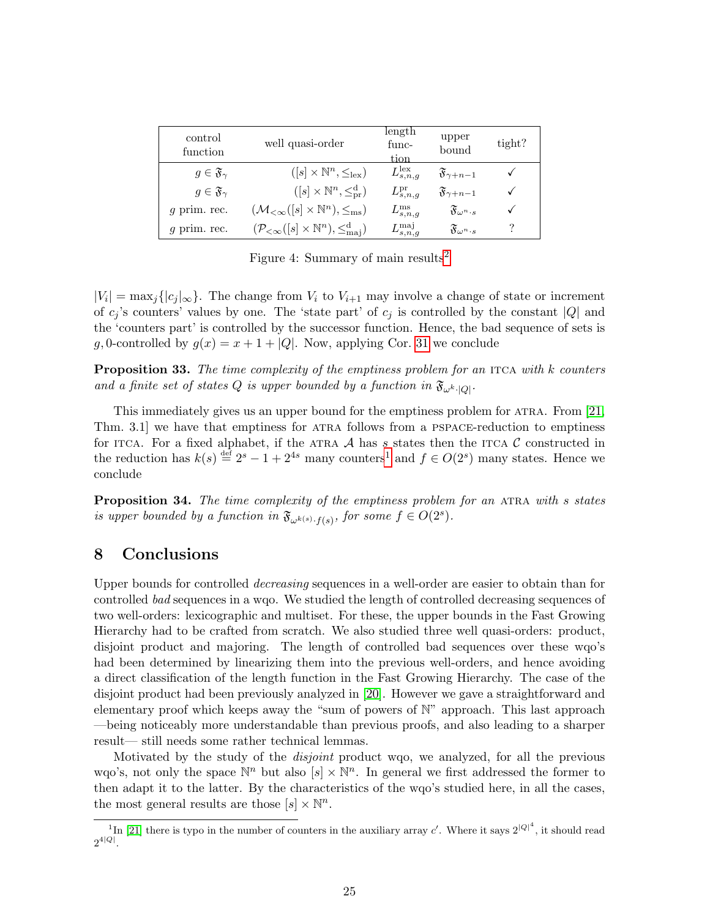| control<br>function           | well quasi-order                                                                         | length<br>func-<br>tion   | upper<br>bound                           | tight? |
|-------------------------------|------------------------------------------------------------------------------------------|---------------------------|------------------------------------------|--------|
| $g \in \mathfrak{F}_{\gamma}$ | $([s] \times \mathbb{N}^n, \leq_{\text{lex}})$                                           | $L_{s,n,q}^{\text{lex}}$  | $\mathfrak{F}_{\gamma+n-1}$              |        |
| $g \in \mathfrak{F}_{\gamma}$ | $([s] \times \mathbb{N}^n, \leq^{\mathrm{d}}_{\mathrm{pr}})$                             | $L_{s,n,q}^{\mathrm{pr}}$ | $\mathfrak{F}_{\gamma+n-1}$              |        |
| $q$ prim. rec.                | $(\mathcal{M}_{<\infty}([s] \times \mathbb{N}^n), \leq_{\text{ms}})$                     | $L_{s,n,g}^{\text{ms}}$   | $\mathfrak{F}_{\omega^{n} \cdot s}$      |        |
| $q$ prim. rec.                | $(\mathcal{P}_{\leq \infty}([s] \times \mathbb{N}^n), \leq^{\mathrm{d}}_{\mathrm{maj}})$ | $L_{s,n,g}^{\text{maj}}$  | $\mathfrak{F}_{\omega}$ <sup>n</sup> · s |        |

<span id="page-24-1"></span>Figure 4: Summary of main results<sup>[2](#page-25-11)</sup>

 $|V_i| = \max_j \{|c_j|_{\infty}\}.$  The change from  $V_i$  to  $V_{i+1}$  may involve a change of state or increment of  $c_j$ 's counters' values by one. The 'state part' of  $c_j$  is controlled by the constant |Q| and the 'counters part' is controlled by the successor function. Hence, the bad sequence of sets is g, 0-controlled by  $g(x) = x + 1 + |Q|$ . Now, applying Cor. [31](#page-23-0) we conclude

**Proposition 33.** The time complexity of the emptiness problem for an ITCA with k counters and a finite set of states Q is upper bounded by a function in  $\mathfrak{F}_{\omega^k \cdot |Q|}$ .

This immediately gives us an upper bound for the emptiness problem for ATRA. From [\[21,](#page-26-9) Thm. 3.1] we have that emptiness for atra follows from a pspace-reduction to emptiness for ITCA. For a fixed alphabet, if the ATRA  $A$  has s states then the ITCA  $C$  constructed in the reduction has  $k(s) \stackrel{\text{def}}{=} 2^s - 1 + 2^{4s}$  $k(s) \stackrel{\text{def}}{=} 2^s - 1 + 2^{4s}$  $k(s) \stackrel{\text{def}}{=} 2^s - 1 + 2^{4s}$  many counters<sup>1</sup> and  $f \in O(2^s)$  many states. Hence we conclude

**Proposition 34.** The time complexity of the emptiness problem for an ATRA with s states is upper bounded by a function in  $\mathfrak{F}_{\omega^{k(s)} \cdot f(s)}$ , for some  $f \in O(2^s)$ .

# 8 Conclusions

Upper bounds for controlled decreasing sequences in a well-order are easier to obtain than for controlled bad sequences in a wqo. We studied the length of controlled decreasing sequences of two well-orders: lexicographic and multiset. For these, the upper bounds in the Fast Growing Hierarchy had to be crafted from scratch. We also studied three well quasi-orders: product, disjoint product and majoring. The length of controlled bad sequences over these wqo's had been determined by linearizing them into the previous well-orders, and hence avoiding a direct classification of the length function in the Fast Growing Hierarchy. The case of the disjoint product had been previously analyzed in [\[20\]](#page-26-8). However we gave a straightforward and elementary proof which keeps away the "sum of powers of N" approach. This last approach —being noticeably more understandable than previous proofs, and also leading to a sharper result— still needs some rather technical lemmas.

Motivated by the study of the disjoint product wqo, we analyzed, for all the previous wqo's, not only the space  $\mathbb{N}^n$  but also  $[s] \times \mathbb{N}^n$ . In general we first addressed the former to then adapt it to the latter. By the characteristics of the wqo's studied here, in all the cases, the most general results are those  $[s] \times \mathbb{N}^n$ .

<span id="page-24-0"></span><sup>&</sup>lt;sup>1</sup>In [\[21\]](#page-26-9) there is typo in the number of counters in the auxiliary array c'. Where it says  $2^{|Q|^4}$ , it should read  $2^{4|Q|}$ .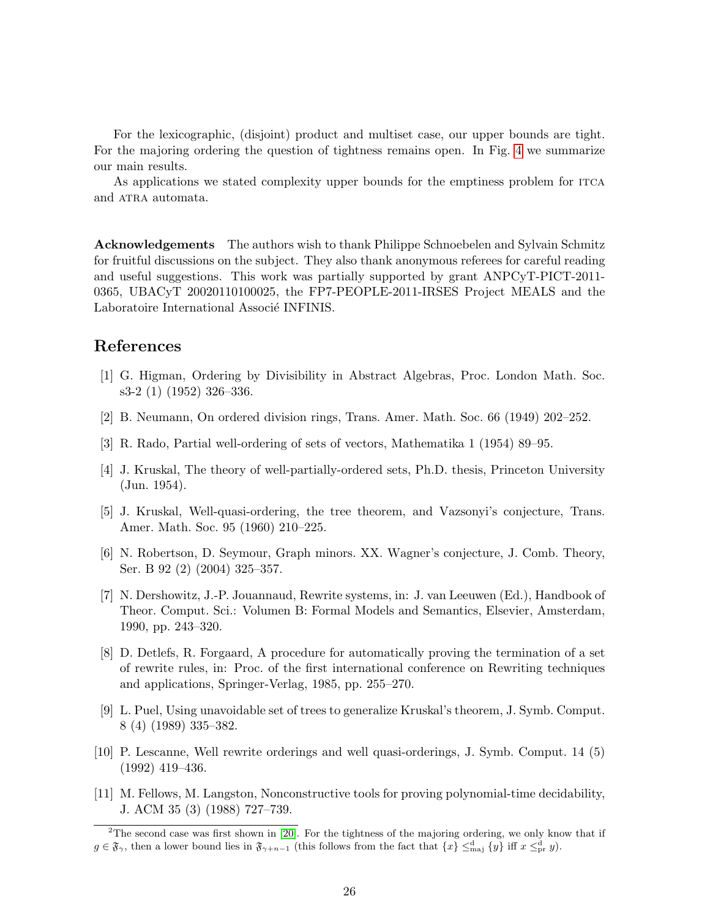For the lexicographic, (disjoint) product and multiset case, our upper bounds are tight. For the majoring ordering the question of tightness remains open. In Fig. [4](#page-24-1) we summarize our main results.

As applications we stated complexity upper bounds for the emptiness problem for ITCA and ATRA automata.

Acknowledgements The authors wish to thank Philippe Schnoebelen and Sylvain Schmitz for fruitful discussions on the subject. They also thank anonymous referees for careful reading and useful suggestions. This work was partially supported by grant ANPCyT-PICT-2011- 0365, UBACyT 20020110100025, the FP7-PEOPLE-2011-IRSES Project MEALS and the Laboratoire International Associé INFINIS.

# References

- <span id="page-25-0"></span>[1] G. Higman, Ordering by Divisibility in Abstract Algebras, Proc. London Math. Soc. s3-2 (1) (1952) 326–336.
- <span id="page-25-1"></span>[2] B. Neumann, On ordered division rings, Trans. Amer. Math. Soc. 66 (1949) 202–252.
- <span id="page-25-2"></span>[3] R. Rado, Partial well-ordering of sets of vectors, Mathematika 1 (1954) 89–95.
- <span id="page-25-3"></span>[4] J. Kruskal, The theory of well-partially-ordered sets, Ph.D. thesis, Princeton University (Jun. 1954).
- <span id="page-25-4"></span>[5] J. Kruskal, Well-quasi-ordering, the tree theorem, and Vazsonyi's conjecture, Trans. Amer. Math. Soc. 95 (1960) 210–225.
- <span id="page-25-5"></span>[6] N. Robertson, D. Seymour, Graph minors. XX. Wagner's conjecture, J. Comb. Theory, Ser. B 92 (2) (2004) 325–357.
- <span id="page-25-6"></span>[7] N. Dershowitz, J.-P. Jouannaud, Rewrite systems, in: J. van Leeuwen (Ed.), Handbook of Theor. Comput. Sci.: Volumen B: Formal Models and Semantics, Elsevier, Amsterdam, 1990, pp. 243–320.
- <span id="page-25-7"></span>[8] D. Detlefs, R. Forgaard, A procedure for automatically proving the termination of a set of rewrite rules, in: Proc. of the first international conference on Rewriting techniques and applications, Springer-Verlag, 1985, pp. 255–270.
- <span id="page-25-8"></span>[9] L. Puel, Using unavoidable set of trees to generalize Kruskal's theorem, J. Symb. Comput. 8 (4) (1989) 335–382.
- <span id="page-25-9"></span>[10] P. Lescanne, Well rewrite orderings and well quasi-orderings, J. Symb. Comput. 14 (5) (1992) 419–436.
- <span id="page-25-10"></span>[11] M. Fellows, M. Langston, Nonconstructive tools for proving polynomial-time decidability, J. ACM 35 (3) (1988) 727–739.

<span id="page-25-11"></span> $2$ The second case was first shown in [\[20\]](#page-26-8). For the tightness of the majoring ordering, we only know that if  $g \in \mathfrak{F}_{\gamma}$ , then a lower bound lies in  $\mathfrak{F}_{\gamma+n-1}$  (this follows from the fact that  $\{x\} \leq_{\text{maj}}^{\text{d}} \{y\}$  iff  $x \leq_{\text{pr}}^{\text{d}} y$ ).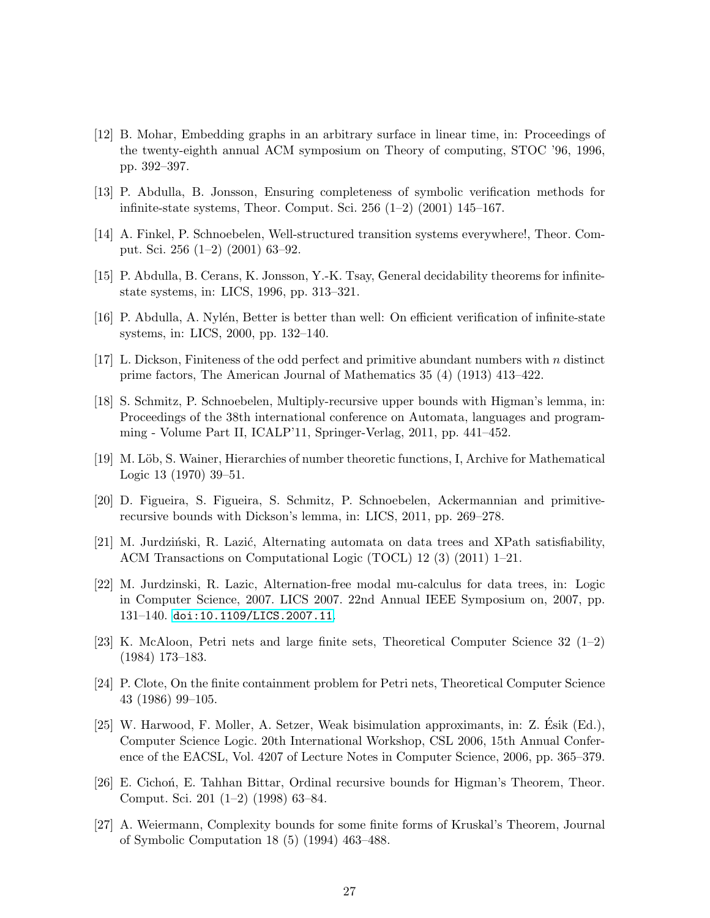- <span id="page-26-0"></span>[12] B. Mohar, Embedding graphs in an arbitrary surface in linear time, in: Proceedings of the twenty-eighth annual ACM symposium on Theory of computing, STOC '96, 1996, pp. 392–397.
- <span id="page-26-1"></span>[13] P. Abdulla, B. Jonsson, Ensuring completeness of symbolic verification methods for infinite-state systems, Theor. Comput. Sci. 256 (1–2) (2001) 145–167.
- <span id="page-26-2"></span>[14] A. Finkel, P. Schnoebelen, Well-structured transition systems everywhere!, Theor. Comput. Sci. 256 (1–2) (2001) 63–92.
- <span id="page-26-3"></span>[15] P. Abdulla, B. Cerans, K. Jonsson, Y.-K. Tsay, General decidability theorems for infinitestate systems, in: LICS, 1996, pp. 313–321.
- <span id="page-26-4"></span>[16] P. Abdulla, A. Nylén, Better is better than well: On efficient verification of infinite-state systems, in: LICS, 2000, pp. 132–140.
- <span id="page-26-5"></span>[17] L. Dickson, Finiteness of the odd perfect and primitive abundant numbers with  $n$  distinct prime factors, The American Journal of Mathematics 35 (4) (1913) 413–422.
- <span id="page-26-6"></span>[18] S. Schmitz, P. Schnoebelen, Multiply-recursive upper bounds with Higman's lemma, in: Proceedings of the 38th international conference on Automata, languages and programming - Volume Part II, ICALP'11, Springer-Verlag, 2011, pp. 441–452.
- <span id="page-26-7"></span>[19] M. Löb, S. Wainer, Hierarchies of number theoretic functions, I, Archive for Mathematical Logic 13 (1970) 39–51.
- <span id="page-26-8"></span>[20] D. Figueira, S. Figueira, S. Schmitz, P. Schnoebelen, Ackermannian and primitiverecursive bounds with Dickson's lemma, in: LICS, 2011, pp. 269–278.
- <span id="page-26-9"></span>[21] M. Jurdziński, R. Lazić, Alternating automata on data trees and XPath satisfiability, ACM Transactions on Computational Logic (TOCL) 12 (3) (2011) 1–21.
- <span id="page-26-10"></span>[22] M. Jurdzinski, R. Lazic, Alternation-free modal mu-calculus for data trees, in: Logic in Computer Science, 2007. LICS 2007. 22nd Annual IEEE Symposium on, 2007, pp. 131–140. [doi:10.1109/LICS.2007.11](http://dx.doi.org/10.1109/LICS.2007.11).
- <span id="page-26-11"></span>[23] K. McAloon, Petri nets and large finite sets, Theoretical Computer Science 32 (1–2) (1984) 173–183.
- <span id="page-26-12"></span>[24] P. Clote, On the finite containment problem for Petri nets, Theoretical Computer Science 43 (1986) 99–105.
- <span id="page-26-13"></span>[25] W. Harwood, F. Moller, A. Setzer, Weak bisimulation approximants, in: Z. Esik (Ed.), ´ Computer Science Logic. 20th International Workshop, CSL 2006, 15th Annual Conference of the EACSL, Vol. 4207 of Lecture Notes in Computer Science, 2006, pp. 365–379.
- <span id="page-26-14"></span>[26] E. Cichon, E. Tahhan Bittar, Ordinal recursive bounds for Higman's Theorem, Theor. Comput. Sci. 201 (1–2) (1998) 63–84.
- <span id="page-26-15"></span>[27] A. Weiermann, Complexity bounds for some finite forms of Kruskal's Theorem, Journal of Symbolic Computation 18 (5) (1994) 463–488.